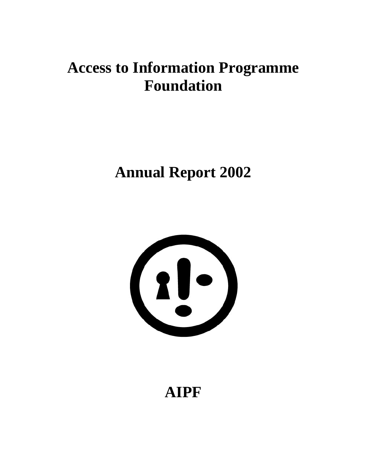# **Access to Information Programme Foundation**

# **Annual Report 2002**



**AIPF**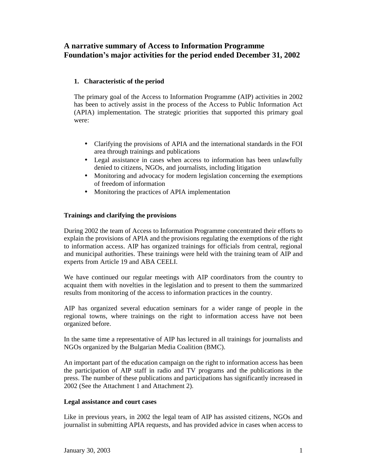# **A narrative summary of Access to Information Programme Foundation's major activities for the period ended December 31, 2002**

# **1. Characteristic of the period**

The primary goal of the Access to Information Programme (AIP) activities in 2002 has been to actively assist in the process of the Access to Public Information Act (APIA) implementation. The strategic priorities that supported this primary goal were:

- Clarifying the provisions of APIA and the international standards in the FOI area through trainings and publications
- Legal assistance in cases when access to information has been unlawfully denied to citizens, NGOs, and journalists, including litigation
- Monitoring and advocacy for modern legislation concerning the exemptions of freedom of information
- Monitoring the practices of APIA implementation

# **Trainings and clarifying the provisions**

During 2002 the team of Access to Information Programme concentrated their efforts to explain the provisions of APIA and the provisions regulating the exemptions of the right to information access. AIP has organized trainings for officials from central, regional and municipal authorities. These trainings were held with the training team of AIP and experts from Article 19 and ABA CEELI.

We have continued our regular meetings with AIP coordinators from the country to acquaint them with novelties in the legislation and to present to them the summarized results from monitoring of the access to information practices in the country.

AIP has organized several education seminars for a wider range of people in the regional towns, where trainings on the right to information access have not been organized before.

In the same time a representative of AIP has lectured in all trainings for journalists and NGOs organized by the Bulgarian Media Coalition (BMC).

An important part of the education campaign on the right to information access has been the participation of AIP staff in radio and TV programs and the publications in the press. The number of these publications and participations has significantly increased in 2002 (See the Attachment 1 and Attachment 2).

# **Legal assistance and court cases**

Like in previous years, in 2002 the legal team of AIP has assisted citizens, NGOs and journalist in submitting APIA requests, and has provided advice in cases when access to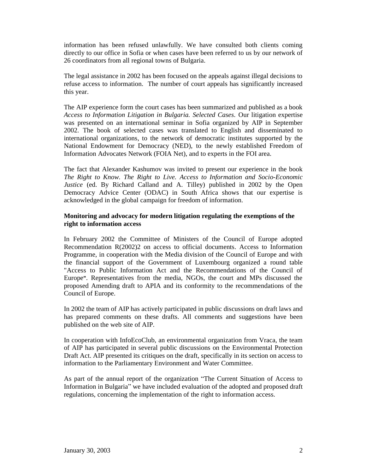information has been refused unlawfully. We have consulted both clients coming directly to our office in Sofia or when cases have been referred to us by our network of 26 coordinators from all regional towns of Bulgaria.

The legal assistance in 2002 has been focused on the appeals against illegal decisions to refuse access to information. The number of court appeals has significantly increased this year.

The AIP experience form the court cases has been summarized and published as a book *Access to Information Litigation in Bulgaria. Selected Cases.* Our litigation expertise was presented on an international seminar in Sofia organized by AIP in September 2002. The book of selected cases was translated to English and disseminated to international organizations, to the network of democratic institutes supported by the National Endowment for Democracy (NED), to the newly established Freedom of Information Advocates Network (FOIA Net), and to experts in the FOI area.

The fact that Alexander Kashumov was invited to present our experience in the book *The Right to Know. The Right to Live. Access to Information and Socio-Economic Justice* (ed. By Richard Calland and A. Tilley) published in 2002 by the Open Democracy Advice Center (ODAC) in South Africa shows that our expertise is acknowledged in the global campaign for freedom of information.

# **Monitoring and advocacy for modern litigation regulating the exemptions of the right to information access**

In February 2002 the Committee of Ministers of the Council of Europe adopted Recommendation R(2002)2 on access to official documents. Access to Information Programme, in cooperation with the Media division of the Council of Europe and with the financial support of the Government of Luxembourg organized a round table "Access to Public Information Act and the Recommendations of the Council of Europe**"**. Representatives from the media, NGOs, the court and MPs discussed the proposed Amending draft to APIA and its conformity to the recommendations of the Council of Europe.

In 2002 the team of AIP has actively participated in public discussions on draft laws and has prepared comments on these drafts. All comments and suggestions have been published on the web site of AIP.

In cooperation with InfoEcoClub, an environmental organization from Vraca, the team of AIP has participated in several public discussions on the Environmental Protection Draft Act. AIP presented its critiques on the draft, specifically in its section on access to information to the Parliamentary Еnvironment and Water Committee.

As part of the annual report of the organization "The Current Situation of Access to Information in Bulgaria" we have included evaluation of the adopted and proposed draft regulations, concerning the implementation of the right to information access.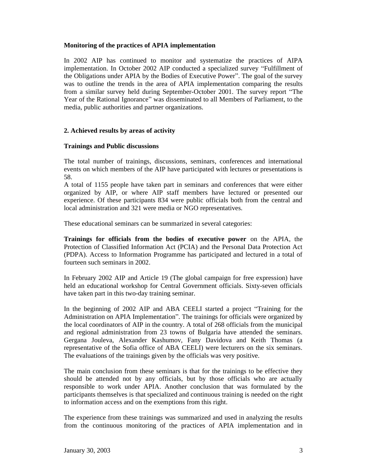#### **Monitoring of the practices of APIA implementation**

In 2002 AIP has continued to monitor and systematize the practices of AIPA implementation. In October 2002 AIP conducted a specialized survey "Fulfillment of the Obligations under APIA by the Bodies of Executive Power". The goal of the survey was to outline the trends in the area of APIA implementation comparing the results from a similar survey held during September-October 2001. The survey report "The Year of the Rational Ignorance" was disseminated to all Members of Parliament, to the media, public authorities and partner organizations.

# **2. Achieved results by areas of activity**

# **Trainings and Public discussions**

The total number of trainings, discussions, seminars, conferences and international events on which members of the AIP have participated with lectures or presentations is 58.

A total of 1155 people have taken part in seminars and conferences that were either organized by AIP, or where AIP staff members have lectured or presented our experience. Of these participants 834 were public officials both from the central and local administration and 321 were media or NGO representatives.

These educational seminars can be summarized in several categories:

**Trainings for officials from the bodies of executive power** on the APIA, the Protection of Classified Information Act (PCIA) and the Personal Data Protection Act (PDPA). Access to Information Programme has participated and lectured in a total of fourteen such seminars in 2002.

In February 2002 AIP and Article 19 (The global campaign for free expression) have held an educational workshop for Central Government officials. Sixty-seven officials have taken part in this two-day training seminar.

In the beginning of 2002 AIP and ABA CEELI started a project "Training for the Administration on APIA Implementation". The trainings for officials were organized by the local coordinators of AIP in the country. A total of 268 officials from the municipal and regional administration from 23 towns of Bulgaria have attended the seminars. Gergana Jouleva, Alexander Kashumov, Fany Davidova and Keith Thomas (a representative of the Sofia office of ABA CEELI) were lecturers on the six seminars. The evaluations of the trainings given by the officials was very positive.

The main conclusion from these seminars is that for the trainings to be effective they should be attended not by any officials, but by those officials who are actually responsible to work under APIA. Another conclusion that was formulated by the participants themselves is that specialized and continuous training is needed on the right to information access and on the exemptions from this right.

The experience from these trainings was summarized and used in analyzing the results from the continuous monitoring of the practices of APIA implementation and in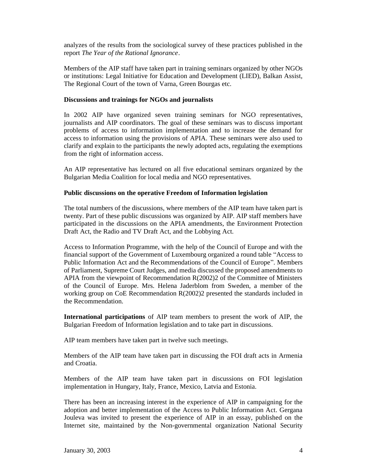analyzes of the results from the sociological survey of these practices published in the report *The Year of the Rational Ignorance*.

Members of the AIP staff have taken part in training seminars organized by other NGOs or institutions: Legal Initiative for Education and Development (LIED), Balkan Assist, The Regional Court of the town of Varna, Green Bourgas etc.

#### **Discussions and trainings for NGOs and journalists**

In 2002 AIP have organized seven training seminars for NGO representatives, journalists and AIP coordinators. The goal of these seminars was to discuss important problems of access to information implementation and to increase the demand for access to information using the provisions of APIA. These seminars were also used to clarify and explain to the participants the newly adopted acts, regulating the exemptions from the right of information access.

An AIP representative has lectured on all five educational seminars organized by the Bulgarian Media Coalition for local media and NGO representatives.

# **Public discussions on the operative Freedom of Information legislation**

The total numbers of the discussions, where members of the AIP team have taken part is twenty. Part of these public discussions was organized by AIP. AIP staff members have participated in the discussions on the APIA amendments, the Environment Protection Draft Act, the Radio and TV Draft Act, and the Lobbying Act.

Access to Information Programme, with the help of the Council of Europe and with the financial support of the Government of Luxembourg organized a round table "Access to Public Information Act and the Recommendations of the Council of Europe". Members of Parliament, Supreme Court Judges, and media discussed the proposed amendments to APIA from the viewpoint of Recommendation R(2002)2 of the Committee of Ministers of the Council of Europe. Mrs. Helena Jaderblom from Sweden, a member of the working group on CoE Recommendation R(2002)2 presented the standards included in the Recommendation.

**International participations** of AIP team members to present the work of AIP, the Bulgarian Freedom of Information legislation and to take part in discussions.

AIP team members have taken part in twelve such meetings.

Members of the AIP team have taken part in discussing the FOI draft acts in Armenia and Croatia.

Members of the AIP team have taken part in discussions on FOI legislation implementation in Hungary, Italy, France, Mexico, Latvia and Estonia.

There has been an increasing interest in the experience of AIP in campaigning for the adoption and better implementation of the Access to Public Information Act. Gergana Jouleva was invited to present the experience of AIP in an essay, published on the Internet site, maintained by the Non-governmental organization National Security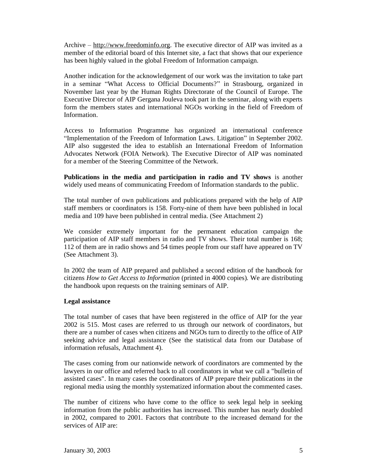Archive – [http://www.freedominfo.org.](http://www.freedominfo.org) The executive director of AIP was invited as a member of the editorial board of this Internet site, a fact that shows that our experience has been highly valued in the global Freedom of Information campaign.

Another indication for the acknowledgement of our work was the invitation to take part in a seminar "What Access to Official Documents?" in Strasbourg, organized in November last year by the Human Rights Directorate of the Council of Europe. The Executive Director of AIP Gergana Jouleva took part in the seminar, along with experts form the members states and international NGOs working in the field of Freedom of Information.

Access to Information Programme has organized an international conference "Implementation of the Freedom of Information Laws. Litigation" in September 2002. AIP also suggested the idea to establish an International Freedom of Information Advocates Network (FOIA Network). The Executive Director of AIP was nominated for a member of the Steering Committee of the Network.

**Publications in the media and participation in radio and TV shows** is another widely used means of communicating Freedom of Information standards to the public.

The total number of own publications and publications prepared with the help of AIP staff members or coordinators is 158. Forty-nine of them have been published in local media and 109 have been published in central media. (See Attachment 2)

We consider extremely important for the permanent education campaign the participation of AIP staff members in radio and TV shows. Their total number is 168; 112 of them are in radio shows and 54 times people from our staff have appeared on TV (See Attachment 3).

In 2002 the team of AIP prepared and published a second edition of the handbook for citizens *How to Get Access to Information* (printed in 4000 copies)*.* We are distributing the handbook upon requests on the training seminars of AIP.

# **Legal assistance**

The total number of cases that have been registered in the office of AIP for the year 2002 is 515. Most cases are referred to us through our network of coordinators, but there are a number of cases when citizens and NGOs turn to directly to the office of AIP seeking advice and legal assistance (See the statistical data from our Database of information refusals, Attachment 4).

The cases coming from our nationwide network of coordinators are commented by the lawyers in our office and referred back to all coordinators in what we call a "bulletin of assisted cases". In many cases the coordinators of AIP prepare their publications in the regional media using the monthly systematized information about the commented cases.

The number of citizens who have come to the office to seek legal help in seeking information from the public authorities has increased. This number has nearly doubled in 2002, compared to 2001. Factors that contribute to the increased demand for the services of AIP are: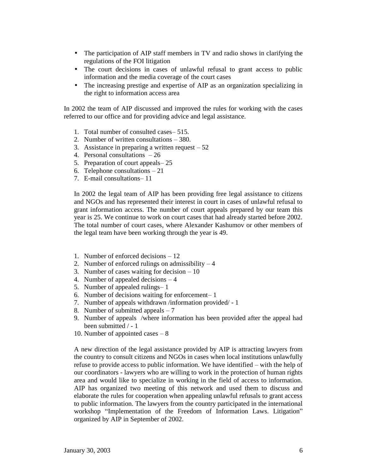- The participation of AIP staff members in TV and radio shows in clarifying the regulations of the FOI litigation
- The court decisions in cases of unlawful refusal to grant access to public information and the media coverage of the court cases
- The increasing prestige and expertise of AIP as an organization specializing in the right to information access area

In 2002 the team of AIP discussed and improved the rules for working with the cases referred to our office and for providing advice and legal assistance.

- 1. Total number of consulted cases– 515.
- 2. Number of written consultations 380.
- 3. Assistance in preparing a written request  $-52$
- 4. Personal consultations 26
- 5. Preparation of court appeals– 25
- 6. Telephone consultations 21
- 7. E-mail consultations– 11

In 2002 the legal team of AIP has been providing free legal assistance to citizens and NGOs and has represented their interest in court in cases of unlawful refusal to grant information access. The number of court appeals prepared by our team this year is 25. We continue to work on court cases that had already started before 2002. The total number of court cases, where Alexander Kashumov or other members of the legal team have been working through the year is 49.

- 1. Number of enforced decisions 12
- 2. Number of enforced rulings on admissibility  $-4$
- 3. Number of cases waiting for decision 10
- 4. Number of appealed decisions 4
- 5. Number of appealed rulings– 1
- 6. Number of decisions waiting for enforcement– 1
- 7. Number of appeals withdrawn /information provided/ 1
- 8. Number of submitted appeals 7
- 9. Number of appeals /where information has been provided after the appeal had been submitted / - 1
- 10. Number of appointed cases 8

A new direction of the legal assistance provided by AIP is attracting lawyers from the country to consult citizens and NGOs in cases when local institutions unlawfully refuse to provide access to public information. We have identified – with the help of our coordinators - lawyers who are willing to work in the protection of human rights area and would like to specialize in working in the field of access to information. AIP has organized two meeting of this network and used them to discuss and elaborate the rules for cooperation when appealing unlawful refusals to grant access to public information. The lawyers from the country participated in the international workshop "Implementation of the Freedom of Information Laws. Litigation" organized by AIP in September of 2002.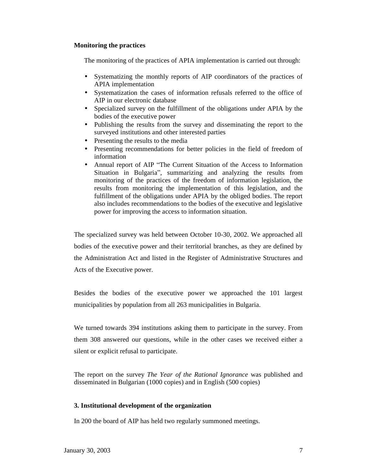#### **Monitoring the practices**

The monitoring of the practices of APIA implementation is carried out through:

- Systematizing the monthly reports of AIP coordinators of the practices of APIA implementation
- Systematization the cases of information refusals referred to the office of AIP in our electronic database
- Specialized survey on the fulfillment of the obligations under APIA by the bodies of the executive power
- Publishing the results from the survey and disseminating the report to the surveyed institutions and other interested parties
- Presenting the results to the media
- Presenting recommendations for better policies in the field of freedom of information
- Annual report of AIP "The Current Situation of the Access to Information Situation in Bulgaria", summarizing and analyzing the results from monitoring of the practices of the freedom of information legislation, the results from monitoring the implementation of this legislation, and the fulfillment of the obligations under APIA by the obliged bodies. The report also includes recommendations to the bodies of the executive and legislative power for improving the access to information situation.

The specialized survey was held between October 10-30, 2002. We approached all bodies of the executive power and their territorial branches, as they are defined by the Administration Act and listed in the Register of Administrative Structures and Acts of the Executive power.

Besides the bodies of the executive power we approached the 101 largest municipalities by population from all 263 municipalities in Bulgaria.

We turned towards 394 institutions asking them to participate in the survey. From them 308 answered our questions, while in the other cases we received either a silent or explicit refusal to participate.

The report on the survey *The Year of the Rational Ignorance* was published and disseminated in Bulgarian (1000 copies) and in English (500 copies)

#### **3. Institutional development of the organization**

In 200 the board of AIP has held two regularly summoned meetings.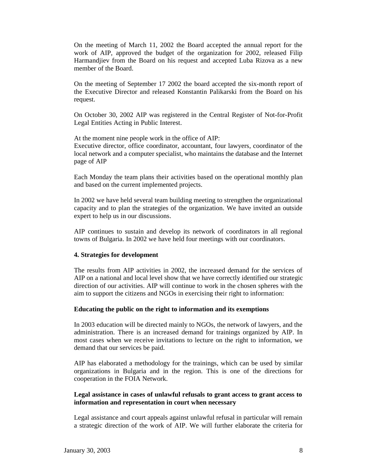On the meeting of March 11, 2002 the Board accepted the annual report for the work of AIP, approved the budget of the organization for 2002, released Filip Harmandjiev from the Board on his request and accepted Luba Rizova as a new member of the Board.

On the meeting of September 17 2002 the board accepted the six-month report of the Executive Director and released Konstantin Palikarski from the Board on his request.

On October 30, 2002 AIP was registered in the Central Register of Not-for-Profit Legal Entities Acting in Public Interest.

At the moment nine people work in the office of AIP: Executive director, office coordinator, accountant, four lawyers, coordinator of the local network and a computer specialist, who maintains the database and the Internet page of AIP

Each Monday the team plans their activities based on the operational monthly plan and based on the current implemented projects.

In 2002 we have held several team building meeting to strengthen the organizational capacity and to plan the strategies of the organization. We have invited an outside expert to help us in our discussions.

AIP continues to sustain and develop its network of coordinators in all regional towns of Bulgaria. In 2002 we have held four meetings with our coordinators.

# **4. Strategies for development**

The results from AIP activities in 2002, the increased demand for the services of AIP on a national and local level show that we have correctly identified our strategic direction of our activities. AIP will continue to work in the chosen spheres with the aim to support the citizens and NGOs in exercising their right to information:

#### **Educating the public on the right to information and its exemptions**

In 2003 education will be directed mainly to NGOs, the network of lawyers, and the administration. There is an increased demand for trainings organized by AIP. In most cases when we receive invitations to lecture on the right to information, we demand that our services be paid.

AIP has elaborated a methodology for the trainings, which can be used by similar organizations in Bulgaria and in the region. This is one of the directions for cooperation in the FOIA Network.

# **Legal assistance in cases of unlawful refusals to grant access to grant access to information and representation in court when necessary**

Legal assistance and court appeals against unlawful refusal in particular will remain a strategic direction of the work of AIP. We will further elaborate the criteria for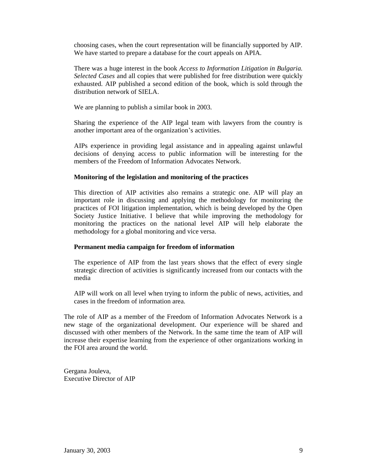choosing cases, when the court representation will be financially supported by AIP. We have started to prepare a database for the court appeals on APIA.

There was a huge interest in the book *Access to Information Litigation in Bulgaria. Selected Cases* and all copies that were published for free distribution were quickly exhausted. AIP published a second edition of the book, which is sold through the distribution network of SIELA.

We are planning to publish a similar book in 2003.

Sharing the experience of the AIP legal team with lawyers from the country is another important area of the organization's activities.

AIPs experience in providing legal assistance and in appealing against unlawful decisions of denying access to public information will be interesting for the members of the Freedom of Information Advocates Network.

#### **Monitoring of the legislation and monitoring of the practices**

This direction of AIP activities also remains a strategic one. AIP will play an important role in discussing and applying the methodology for monitoring the practices of FOI litigation implementation, which is being developed by the Open Society Justice Initiative. I believe that while improving the methodology for monitoring the practices on the national level AIP will help elaborate the methodology for a global monitoring and vice versa.

#### **Permanent media campaign for freedom of information**

The experience of AIP from the last years shows that the effect of every single strategic direction of activities is significantly increased from our contacts with the media

AIP will work on all level when trying to inform the public of news, activities, and cases in the freedom of information area.

The role of AIP as a member of the Freedom of Information Advocates Network is a new stage of the organizational development. Our experience will be shared and discussed with other members of the Network. In the same time the team of AIP will increase their expertise learning from the experience of other organizations working in the FOI area around the world.

Gergana Jouleva, Executive Director of AIP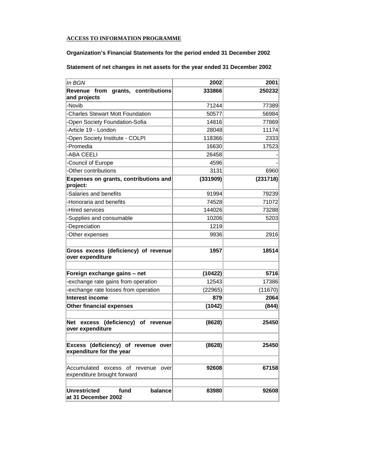#### **ACCESS TO INFORMATION PROGRAMME**

# **Organization's Financial Statements for the period ended 31 December 2002**

# **Statement of net changes in net assets for the year ended 31 December 2002**

| In BGN                                                            | 2002     | 2001     |
|-------------------------------------------------------------------|----------|----------|
| Revenue from grants, contributions<br>and projects                | 333866   | 250232   |
| -Novib                                                            | 71244    | 77389    |
| -Charles Stewart Mott Foundation                                  | 50577    | 56984    |
| -Open Society Foundation-Sofia                                    | 14816    | 77869    |
| -Article 19 - London                                              | 28048    | 11174    |
| -Open Society Institute - COLPI                                   | 118366   | 2333     |
| -Promedia                                                         | 16630    | 17523    |
| -ABA CEELI                                                        | 26458    |          |
| Council of Europe                                                 | 4596     |          |
| -Other contributions                                              | 3131     | 6960     |
| Expenses on grants, contributions and<br>project:                 | (331909) | (231718) |
| -Salaries and benefits                                            | 91994    | 79239    |
| -Honoraria and benefits                                           | 74528    | 71072    |
| -Hired services                                                   | 144026   | 73288    |
| -Supplies and consumable                                          | 10206    | 5203     |
| -Depreciation                                                     | 1219     |          |
| -Other expenses                                                   | 9936     | 2916     |
| Gross excess (deficiency) of revenue<br>over expenditure          | 1957     | 18514    |
| Foreign exchange gains - net                                      | (10422)  | 5716     |
| exchange rate gains from operation                                | 12543    | 17386    |
| exchange rate losses from operation                               | (22965)  | (11670)  |
| Interest income                                                   | 879      | 2064     |
| <b>Other financial expenses</b>                                   | (1042)   | (844)    |
| Net excess (deficiency) of<br>revenue<br>over expenditure         | (8628)   | 25450    |
| Excess (deficiency) of revenue over<br>expenditure for the year   | (8628)   | 25450    |
| Accumulated excess of revenue over<br>expenditure brought forward | 92608    | 67158    |
| <b>Unrestricted</b><br>fund<br>balance<br>at 31 December 2002     | 83980    | 92608    |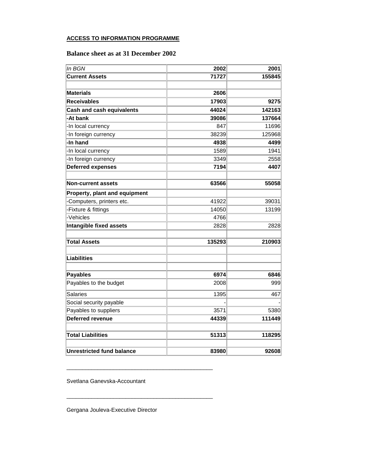#### **ACCESS TO INFORMATION PROGRAMME**

# **Balance sheet as at 31 December 2002**

| In BGN                           | 2002   | 2001   |
|----------------------------------|--------|--------|
| <b>Current Assets</b>            | 71727  | 155845 |
|                                  |        |        |
| <b>Materials</b>                 | 2606   |        |
| <b>Receivables</b>               | 17903  | 9275   |
| <b>Cash and cash equivalents</b> | 44024  | 142163 |
| -At bank                         | 39086  | 137664 |
| -In local currency               | 847    | 11696  |
| -In foreign currency             | 38239  | 125968 |
| -In hand                         | 4938   | 4499   |
| -In local currency               | 1589   | 1941   |
| -In foreign currency             | 3349   | 2558   |
| <b>Deferred expenses</b>         | 7194   | 4407   |
|                                  |        |        |
| <b>Non-current assets</b>        | 63566  | 55058  |
| Property, plant and equipment    |        |        |
| Computers, printers etc.         | 41922  | 39031  |
| Fixture & fittings               | 14050  | 13199  |
| -Vehicles                        | 4766   |        |
| <b>Intangible fixed assets</b>   | 2828   | 2828   |
|                                  |        |        |
| <b>Total Assets</b>              | 135293 | 210903 |
| <b>Liabilities</b>               |        |        |
| <b>Payables</b>                  | 6974   | 6846   |
| Payables to the budget           | 2008   | 999    |
| <b>Salaries</b>                  | 1395   | 467    |
| Social security payable          |        |        |
| Payables to suppliers            | 3571   | 5380   |
| Deferred revenue                 | 44339  | 111449 |
| <b>Total Liabilities</b>         | 51313  | 118295 |
|                                  |        |        |
| <b>Unrestricted fund balance</b> | 83980  | 92608  |

Svetlana Ganevska-Accountant

\_\_\_\_\_\_\_\_\_\_\_\_\_\_\_\_\_\_\_\_\_\_\_\_\_\_\_\_\_\_\_\_\_\_\_\_\_\_\_\_\_\_\_\_\_\_\_

\_\_\_\_\_\_\_\_\_\_\_\_\_\_\_\_\_\_\_\_\_\_\_\_\_\_\_\_\_\_\_\_\_\_\_\_\_\_\_\_\_\_\_\_\_\_\_

Gergana Jouleva-Executive Director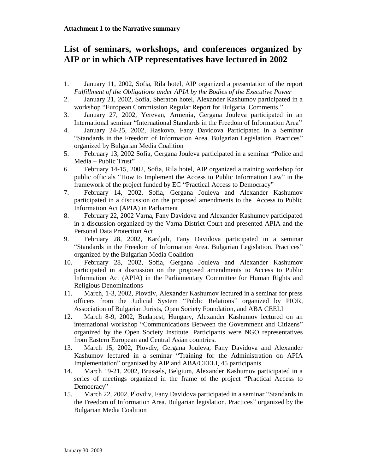# **List of seminars, workshops, and conferences organized by AIP or in which AIP representatives have lectured in 2002**

- 1. January 11, 2002, Sofia, Rila hotel, AIP organized a presentation of the report *Fulfillment of the Obligations under APIA by the Bodies of the Executive Power*
- 2. January 21, 2002, Sofia, Sheraton hotel, Alexander Kashumov participated in a workshop "European Commission Regular Report for Bulgaria. Comments."
- 3. January 27, 2002, Yerevan, Armenia, Gergana Jouleva participated in an International seminar "International Standards in the Freedom of Information Area"
- 4. January 24-25, 2002, Haskovo, Fany Davidova Participated in a Seminar "Standards in the Freedom of Information Area. Bulgarian Legislation. Practices" organized by Bulgarian Media Coalition
- 5. February 13, 2002 Sofia, Gergana Jouleva participated in a seminar "Police and Media – Public Trust"
- 6. February 14-15, 2002, Sofia, Rila hotel, AIP organized a training workshop for public officials "How to Implement the Access to Public Information Law" in the framework of the project funded by EC "Practical Access to Democracy"
- 7. February 14, 2002, Sofia, Gergana Jouleva and Alexander Kashumov participated in a discussion on the proposed amendments to the Access to Public Information Act (APIA) in Parliament
- 8. February 22, 2002 Varna, Fany Davidova and Alexander Kashumov participated in a discussion organized by the Varna District Court and presented APIA and the Personal Data Protection Act
- 9. February 28, 2002, Kardjali, Fany Davidova participated in a seminar "Standards in the Freedom of Information Area. Bulgarian Legislation. Practices" organized by the Bulgarian Media Coalition
- 10. February 28, 2002, Sofia, Gergana Jouleva and Alexander Kashumov participated in a discussion on the proposed amendments to Access to Public Information Act (APIA) in the Parliamentary Committee for Human Rights and Religious Denominations
- 11. March, 1-3, 2002, Plovdiv, Alexander Kashumov lectured in a seminar for press officers from the Judicial System "Public Relations" organized by PIOR, Association of Bulgarian Jurists, Open Society Foundation, and ABA CEELI
- 12. March 8-9, 2002, Budapest, Hungary, Alexander Kashumov lectured on an international workshop "Communications Between the Government and Citizens" organized by the Open Society Institute. Participants were NGO representatives from Eastern European and Central Asian countries.
- 13. March 15, 2002, Plovdiv, Gergana Jouleva, Fany Davidova and Alexander Kashumov lectured in a seminar "Training for the Administration on APIA Implementation" organized by AIP and ABA/CEELI, 45 participants
- 14. March 19-21, 2002, Brussels, Belgium, Alexander Kashumov participated in a series of meetings organized in the frame of the project "Practical Access to Democracy"
- 15. March 22, 2002, Plovdiv, Fany Davidova participated in a seminar "Standards in the Freedom of Information Area. Bulgarian legislation. Practices" organized by the Bulgarian Media Coalition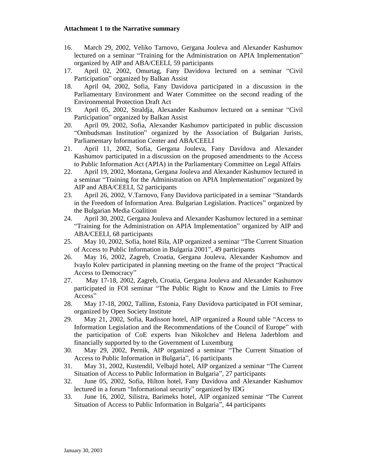- 16. March 29, 2002, Veliko Tarnovo, Gergana Jouleva and Alexander Kashumov lectured on a seminar "Training for the Administration on APIA Implementation" organized by AIP and ABA/CEELI, 59 participants
- 17. April 02, 2002, Omurtag, Fany Davidova lectured on a seminar "Civil Participation" organized by Balkan Assist
- 18. April 04, 2002, Sofia, Fany Davidova participated in a discussion in the Parliamentary Еnvironment and Water Committee on the second reading of the Environmental Protection Draft Act
- 19. April 05, 2002, Straldja, Alexander Kashumov lectured on a seminar "Civil Participation" organized by Balkan Assist
- 20. April 09, 2002, Sofia, Alexander Kashumov participated in public discussion "Ombudsman Institution" organized by the Association of Bulgarian Jurists, Parliamentary Information Center and ABA/CEELI
- 21. April 11, 2002, Sofia, Gergana Jouleva, Fany Davidova and Alexander Kashumov participated in a discussion on the proposed amendments to the Access to Public Information Act (APIA) in the Parliamentary Committee on Legal Affairs
- 22. April 19, 2002, Montana, Gergana Jouleva and Alexander Kashumov lectured in a seminar "Training for the Administration on APIA Implementation" organized by AIP and ABA/CEELI, 52 participants
- 23. April 26, 2002, V.Tarnovo, Fany Davidova participated in a seminar "Standards in the Freedom of Information Area. Bulgarian Legislation. Practices" organized by the Bulgarian Media Coalition
- 24. April 30, 2002, Gergana Jouleva and Alexander Kashumov lectured in a seminar "Training for the Administration on APIA Implementation" organized by AIP and ABA/CEELI, 68 participants
- 25. May 10, 2002, Sofia, hotel Rila, AIP organized a seminar "The Current Situation of Access to Public Information in Bulgaria 2001", 49 participants
- 26. May 16, 2002, Zagreb, Croatia, Gergana Jouleva, Alexander Kashumov and Ivaylo Kolev participated in planning meeting on the frame of the project "Practical Access to Democracy"
- 27. May 17-18, 2002, Zagreb, Croatia, Gergana Jouleva and Alexander Kashumov participated in FOI seminar "The Public Right to Know and the Limits to Free Access"
- 28. May 17-18, 2002, Tallinn, Estonia, Fany Davidova participated in FOI seminar, organized by Open Society Institute
- 29. May 21, 2002, Sofia, Radisson hotel, AIP organized a Round table "Access to Information Legislation and the Recommendations of the Council of Europe" with the participation of CoE experts Ivan Nikolchev and Helena Jaderblom and financially supported by to the Government of Luxemburg
- 30. May 29, 2002, Pernik, AIP organized a seminar "The Current Situation of Access to Public Information in Bulgaria", 16 participants
- 31. May 31, 2002, Kustendil, Velbajd hotel, AIP organized a seminar "The Current Situation of Access to Public Information in Bulgaria", 27 participants
- 32. June 05, 2002, Sofia, Hilton hotel, Fany Davidova and Alexander Kashumov lectured in a forum "Informational security" organized by IDG
- 33. June 16, 2002, Silistra, Barimeks hotel, AIP organized seminar "The Current Situation of Access to Public Information in Bulgaria", 44 participants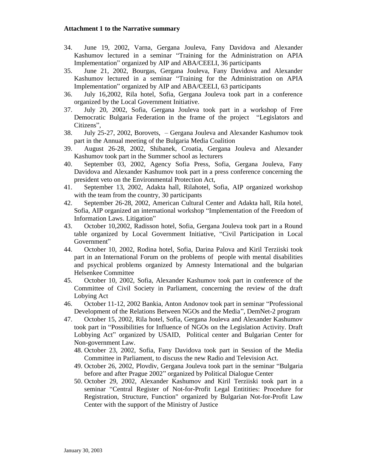- 34. June 19, 2002, Varna, Gergana Jouleva, Fany Davidova and Alexander Kashumov lectured in a seminar "Training for the Administration on APIA Implementation" organized by AIP and ABA/CEELI, 36 participants
- 35. June 21, 2002, Bourgas, Gergana Jouleva, Fany Davidova and Alexander Kashumov lectured in a seminar "Training for the Administration on APIA Implementation" organized by AIP and ABA/CEELI, 63 participants
- 36. July 16,2002, Rila hotel, Sofia, Gergana Jouleva took part in a conference organized by the Local Government Initiative.
- 37. July 20, 2002, Sofia, Gergana Jouleva took part in a workshop of Free Democratic Bulgaria Federation in the frame of the project "Legislators and Citizens",
- 38. July 25-27, 2002, Borovets, Gergana Jouleva and Alexander Kashumov took part in the Annual meeting of the Bulgaria Media Coalition
- 39. August 26-28, 2002, Shibanek, Croatia, Gergana Jouleva and Alexander Kashumov took part in the Summer school as lecturers
- 40. September 03, 2002, Agency Sofia Press, Sofia, Gergana Jouleva, Fany Davidova and Alexander Kashumov took part in a press conference concerning the president veto on the Environmental Protection Act,
- 41. September 13, 2002, Adakta hall, Rilahotel, Sofia, AIP organized workshop with the team from the country, 30 participants
- 42. September 26-28, 2002, American Cultural Center and Adakta hall, Rila hotel, Sofia, AIP organized an international workshop "Implementation of the Freedom of Information Laws. Litigation"
- 43. October 10,2002, Radisson hotel, Sofia, Gergana Jouleva took part in a Round table organized by Local Government Initiative, "Civil Participation in Local Government"
- 44. October 10, 2002, Rodina hotel, Sofia, Darina Palova and Kiril Terziiski took part in an International Forum on the problems of people with mental disabilities and psychical problems organized by Amnesty International and the bulgarian Helsenkee Committee
- 45. October 10, 2002, Sofia, Alexander Kashumov took part in conference of the Committee of Civil Society in Parliament, concerning the review of the draft Lobying Act
- 46. October 11-12, 2002 Bankia, Anton Andonov took part in seminar "Professional Development of the Relations Between NGOs and the Media", DemNet-2 program
- 47. October 15, 2002, Rila hotel, Sofia, Gergana Jouleva and Alexander Kashumov took part in "Possibilities for Influence of NGOs on the Legislation Activity. Draft Lobbying Act" organized by USAID, Political center and Bulgarian Center for Non-government Law.
	- 48. October 23, 2002, Sofia, Fany Davidova took part in Session of the Media Committee in Parliament, to discuss the new Radio and Television Act.
	- 49. October 26, 2002, Plovdiv, Gergana Jouleva took part in the seminar "Bulgaria before and after Prague 2002" organized by Political Dialogue Center
	- 50. October 29, 2002, Alexander Kashumov and Kiril Terziiski took part in a seminar "Central Register of Not-for-Profit Legal Entitities: Procedure for Registration, Structure, Function" organized by Bulgarian Not-for-Profit Law Center with the support of the Ministry of Justice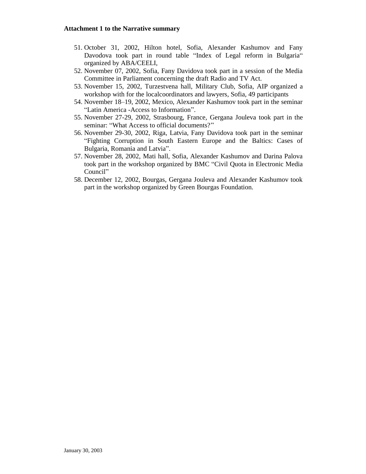- 51. October 31, 2002, Hilton hotel, Sofia, Alexander Kashumov and Fany Davodova took part in round table "Index of Legal reform in Bulgaria" organized by ABA/CEELI,
- 52. November 07, 2002, Sofia, Fany Davidova took part in a session of the Media Committee in Parliament concerning the draft Radio and TV Act.
- 53. November 15, 2002, Тurzestvena hall, Military Club, Sofia, AIP organized a workshop with for the localcoordinators and lawyers, Sofia, 49 participants
- 54. November 18–19, 2002, Mexico, Alexander Kashumov took part in the seminar "Latin America -Access to Information".
- 55. November 27-29, 2002, Strasbourg, France, Gergana Jouleva took part in the seminar: "What Access to official documents?"
- 56. November 29-30, 2002, Riga, Latvia, Fany Davidova took part in the seminar "Fighting Corruption in South Eastern Europe and the Baltics: Cases of Bulgaria, Romania and Latvia".
- 57. November 28, 2002, Mati hall, Sofia, Alexander Kashumov and Darina Palova took part in the workshop organized by BMC "Civil Quota in Electronic Мedia Council"
- 58. December 12, 2002, Bourgas, Gergana Jouleva and Alexander Kashumov took part in the workshop organized by Green Bourgas Foundation.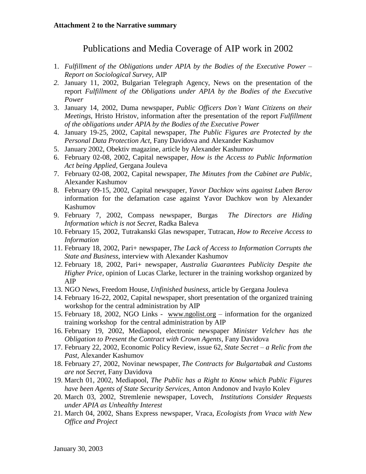# Publications and Media Coverage of AIP work in 2002

- 1. *Fulfillment of the Obligations under APIA by the Bodies of the Executive Power – Report on Sociological Survey*, AIP
- *2.* January 11, 2002, Bulgarian Telegraph Agency, News on the presentation of the report *Fulfillment of the Obligations under APIA by the Bodies of the Executive Power*
- 3. January 14, 2002, Duma newspaper, *Public Officers Don't Want Citizens on their Meetings*, Hristo Hristov, information after the presentation of the report *Fulfillment of the obligations under APIA by the Bodies of the Executive Power*
- 4. January 19-25, 2002, Capital newspaper, *The Public Figures are Protected by the Personal Data Protection Act*, Fany Davidova and Alexander Kashumov
- 5. January 2002, Obektiv magazine, article by Alexander Kashumov
- 6. February 02-08, 2002, Capital newspaper, *How is the Access to Public Information Act being Applied*, Gergana Jouleva
- 7. February 02-08, 2002, Capital newspaper, *The Minutes from the Cabinet are Public*, Alexander Kashumov
- 8. February 09-15, 2002, Capital newspaper, *Yavor Dachkov wins against Luben Berov*  information for the defamation case against Yavor Dachkov won by Alexander Kashumov
- 9. February 7, 2002, Compass newspaper, Burgas *The Directors are Hiding Information which is not Secret*, Radka Baleva
- 10. February 15, 2002, Tutrakanski Glas newspaper, Tutracan, *How to Receive Access to Information*
- 11. February 18, 2002, Pari+ newspaper, *The Lack of Access to Information Corrupts the State and Business*, interview with Alexander Kashumov
- 12. February 18, 2002, Pari+ newspaper, *Australia Guarantees Publicity Despite the Higher Price,* opinion of Lucas Clarke, lecturer in the training workshop organized by AIP
- 13. NGO News, Freedom House, *Unfinished business*, article by Gergana Jouleva
- 14. February 16-22, 2002, Capital newspaper, short presentation of the organized training workshop for the central administration by AIP
- 15. February 18, 2002, NGO Links [www.ngolist.org](http://www.ngolist.org) information for the organized training workshop for the central administration by AIP
- 16. February 19, 2002, Mediapool, electronic newspaper *Minister Velchev has the Obligation to Present the Contract with Crown Agents*, Fany Davidova
- 17. February 22, 2002, Economic Policy Review, issue 62, *State Secret – a Relic from the Past*, Alexander Kashumov
- 18. February 27, 2002, Novinar newspaper, *The Contracts for Bulgartabak and Customs are not Secret*, Fany Davidova
- 19. March 01, 2002, Меdiapool, *The Public has a Right to Know which Public Figures have been Agents of State Security Services,* Anton Andonov and Ivaylo Kolev
- 20. March 03, 2002, Stremlenie newspaper, Lovech, *Institutions Consider Requests under APIA as Unhealthy Interest*
- 21. March 04, 2002, Shans Express newspaper, Vraca, *Ecologists from Vraca with New Office and Project*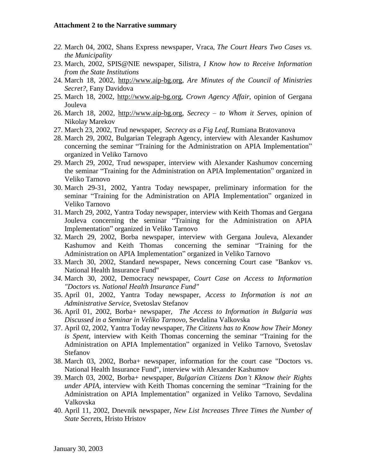- *22.* March 04, 2002, Shans Express newspaper, Vraca, *The Court Hears Two Cases vs. the Municipality*
- 23. March, 2002, SPIS@NIE newspaper, Silistra, *I Know how to Receive Information from the State Institutions*
- 24. March 18, 2002, [http://www.aip-bg.org,](http://www.aip-bg.org) *Are Minutes of the Council of Ministries Secret?*, Fany Davidova
- 25. March 18, 2002, <http://www.aip-bg.org>, *Crown Agency Affair*, opinion of Gergana Jouleva
- 26. March 18, 2002, [http://www.aip-bg.org,](http://www.aip-bg.org) *Secrecy – to Whom it Serves*, opinion of Nikolay Marekov
- 27. March 23, 2002, Trud newspaper, *Secrecy as a Fig Leaf*, Rumiana Bratovanova
- 28. March 29, 2002, Bulgarian Telegraph Agency, interview with Alexander Kashumov concerning the seminar "Training for the Administration on APIA Implementation" organized in Veliko Tarnovo
- 29. March 29, 2002, Trud newspaper, interview with Alexander Kashumov concerning the seminar "Training for the Administration on APIA Implementation" organized in Veliko Tarnovo
- 30. March 29-31, 2002, Yantra Today newspaper, preliminary information for the seminar "Training for the Administration on APIA Implementation" organized in Veliko Tarnovo
- 31. March 29, 2002, Yantra Today newspaper, interview with Keith Thomas and Gergana Jouleva concerning the seminar "Training for the Administration on APIA Implementation" organized in Veliko Tarnovo
- 32. March 29, 2002, Borba newspaper, interview with Gergana Jouleva, Alexander Kashumov and Keith Thomas concerning the seminar "Training for the Administration on APIA Implementation" organized in Veliko Tarnovo
- 33. March 30, 2002, Standard newspaper, News concerning Court case "Bankov vs. National Health Insurance Fund"
- *34.* March 30, 2002, Democracy newspaper, *Court Case on Access to Information "Doctors vs. National Health Insurance Fund"*
- 35. April 01, 2002, Yantra Today newspaper, *Access to Information is not an Administrative Service*, Svetoslav Stefanov
- 36. April 01, 2002, Borba+ newspaper, *The Access to Information in Bulgaria was Discussed in a Seminar in Veliko Tarnovo*, Sevdalina Valkovska
- 37. April 02, 2002, Yantra Today newspaper, *The Citizens has to Know how Their Money is Spent*, interview with Keith Thomas concerning the seminar "Training for the Administration on APIA Implementation" organized in Veliko Tarnovo, Svetoslav Stefanov
- 38. March 03, 2002, Borba+ newspaper, information for the court case "Doctors vs. National Health Insurance Fund", interview with Alexander Kashumov
- 39. March 03, 2002, Borba+ newspaper, *Bulgarian Citizens Don't Kknow their Rights under APIA,* interview with Keith Thomas concerning the seminar "Training for the Administration on APIA Implementation" organized in Veliko Tarnovo, Sevdalina Valkovska
- 40. April 11, 2002, Dnevnik newspaper, *New List Increases Three Times the Number of State Secrets*, Hristo Hristov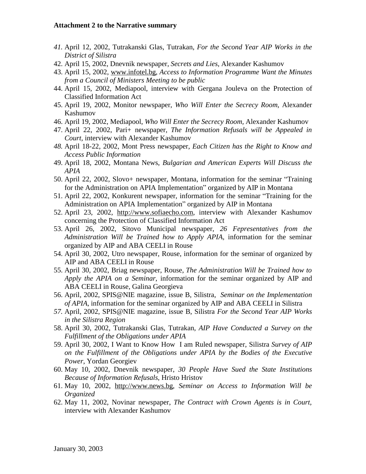- *41.* April 12, 2002, Tutrakanski Glas, Tutrakan, *For the Second Year AIP Works in the District of Silistra*
- 42. April 15, 2002, Dnevnik newspaper, *Secrets and Lies*, Alexander Kashumov
- 43. April 15, 2002, [www.infotel.bg,](http://www.infotel.bg) *Access to Information Programme Want the Minutes from a Council of Ministers Meeting to be public*
- 44. April 15, 2002, Mediapool, interview with Gergana Jouleva on the Protection of Classified Information Act
- 45. April 19, 2002, Monitor newspaper, *Who Will Enter the Secrecy Room*, Alexander Kashumov
- 46. April 19, 2002, Mediapool, *Who Will Enter the Secrecy Room,* Alexander Kashumov
- 47. April 22, 2002, Pari+ newspaper, *The Information Refusals will be Appealed in Court,* interview with Alexander Kashumov
- *48.* April 18-22, 2002, Mont Press newspaper, *Each Citizen has the Right to Know and Access Public Information*
- 49. April 18, 2002, Montana News, *Bulgarian and American Experts Will Discuss the APIA*
- 50. April 22, 2002, Slovo+ newspaper, Montana, information for the seminar "Training for the Administration on APIA Implementation" organized by AIP in Montana
- 51. April 22, 2002, Konkurent newspaper, information for the seminar "Training for the Administration on APIA Implementation" organized by AIP in Montana
- 52. April 23, 2002, <http://www.sofiaecho.com>, interview with Alexander Kashumov concerning the Protection of Classified Information Act
- 53. April 26, 2002, Sitovo Municipal newspaper, *26 Fepresentatives from the Administration Will be Trained how to Apply APIA,* information for the seminar organized by AIP and ABA CEELI in Rouse
- 54. April 30, 2002, Utro newspaper, Rouse, information for the seminar of organized by AIP and ABA CEELI in Rouse
- 55. April 30, 2002, Briag newspaper, Rouse, *The Administration Will be Trained how to Apply the APIA on a Seminar*, information for the seminar organized by AIP and ABA CEELI in Rouse, Galina Georgieva
- 56. April, 2002, SPIS@NIE magazine, issue B, Silistra, *Seminar on the Implementation of APIA*, information for the seminar organized by AIP and ABA CEELI in Silistra
- *57.* April, 2002, SPIS@NIE magazine, issue B, Silistra *For the Second Year AIP Works in the Silistra Region*
- 58. April 30, 2002, Tutrakanski Glas, Tutrakan, *AIP Have Conducted a Survey on the Fulfillment of the Obligations under APIA*
- 59. April 30, 2002, I Want to Know How I am Ruled newspaper, Silistra *Survey of AIP on the Fulfillment of the Obligations under APIA by the Bodies of the Executive Power*, Yordan Georgiev
- 60. May 10, 2002, Dnevnik newspaper, *30 People Have Sued the State Institutions Because of Information Refusals*, Hristo Hristov
- 61. May 10, 2002, <http://www.news.bg>, *Seminar on Access to Information Will be Organized*
- 62. May 11, 2002, Novinar newspaper, *The Contract with Crown Agents is in Court,*  interview with Alexander Kashumov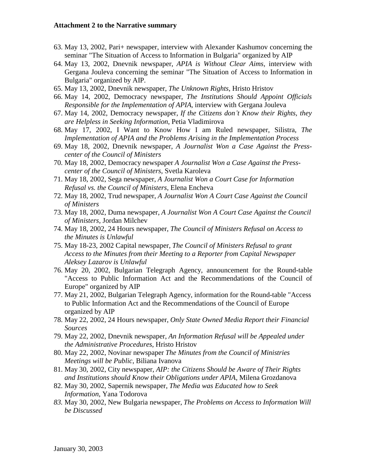- 63. May 13, 2002, Pari+ newspaper, interview with Alexander Kashumov concerning the seminar "The Situation of Access to Information in Bulgaria" organized by AIP
- 64. May 13, 2002, Dnevnik newspaper, *APIA is Without Clear Aims,* interview with Gergana Jouleva concerning the seminar "The Situation of Access to Information in Bulgaria" organized by AIP.
- 65. May 13, 2002, Dnevnik newspaper, *The Unknown Rights*, Hristo Hristov
- 66. May 14, 2002, Democracy newspaper, *The Institutions Should Appoint Officials Responsible for the Implementation of APIA*, interview with Gergana Jouleva
- 67. May 14, 2002, Democracy newspaper, *If the Citizens don't Know their Rights, they are Helpless in Seeking Information*, Petia Vladimirova
- 68. May 17, 2002, I Want to Know How I am Ruled newspaper, Silistra, *The Implementation of APIA and the Problems Arising in the Implementation Process*
- 69. May 18, 2002, Dnevnik newspaper, *A Journalist Won a Case Against the Presscenter of the Council of Ministers*
- 70. May 18, 2002, Democracy newspaper *A Journalist Won a Case Against the Presscenter of the Council of Ministers,* Svetla Karoleva
- 71. May 18, 2002, Sega newspaper, *A Journalist Won a Court Case for Information Refusal vs. the Council of Ministers,* Elena Encheva
- 72. May 18, 2002, Trud newspaper, *A Journalist Won A Court Case Against the Council of Ministers*
- 73. May 18, 2002, Duma newspaper, *A Journalist Won A Court Case Against the Council of Ministers,* Jordan Milchev
- 74. May 18, 2002, 24 Hours newspaper, *The Council of Ministers Refusal on Access to the Minutes is Unlawful*
- 75. May 18-23, 2002 Capital newspaper, *The Council of Ministers Refusal to grant Access to the Minutes from their Meeting to a Reporter from Capital Newspaper Aleksey Lazarov is Unlawful*
- 76. May 20, 2002, Bulgarian Telegraph Agency, announcement for the Round-table "Access to Public Information Act and the Recommendations of the Council of Europe" organized by AIP
- 77. May 21, 2002, Bulgarian Telegraph Agency, information for the Round-table "Access to Public Information Act and the Recommendations of the Council of Europe organized by AIP
- 78. May 22, 2002, 24 Hours newspaper, *Only State Owned Media Report their Financial Sources*
- 79. May 22, 2002, Dnevnik newspaper, *An Information Refusal will be Appealed under the Administrative Procedures*, Hristo Hristov
- 80. May 22, 2002, Novinar newspaper *The Minutes from the Council of Ministries Meetings will be Public*, Biliana Ivanova
- 81. May 30, 2002, City newspaper, *AIP: the Citizens Should be Aware of Their Rights and Institutions should Know their Obligations under APIA*, Milena Grozdanova
- 82. May 30, 2002, Sapernik newspaper, *The Media was Educated how to Seek Information*, Yana Todorova
- *83.* May 30, 2002, New Bulgaria newspaper, *The Problems on Access to Information Will be Discussed*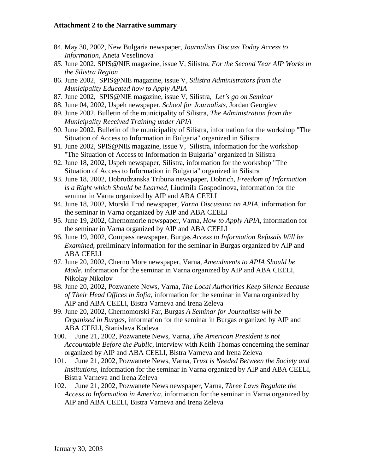- 84. May 30, 2002, New Bulgaria newspaper, *Journalists Discuss Today Access to Information,* Aneta Veselinova
- *85.* June 2002, SPIS@NIE magazine, issue V, Silistra, *For the Second Year AIP Works in the Silistra Region*
- 86. June 2002, SPIS@NIE magazine, issue V, *Silistra Administrators from the Municipality Educated how to Apply APIA*
- 87. June 2002, SPIS@NIE magazine, issue V, Silistra, *Let's go on Seminar*
- 88. June 04, 2002, Uspeh newspaper, *School for Journalists*, Jordan Georgiev
- 89. June 2002, Bulletin of the municipality of Silistra, *The Administration from the Municipality Received Training under APIA*
- 90. June 2002, Bulletin of the municipality of Silistra, information for the workshop "The Situation of Access to Information in Bulgaria" organized in Silistra
- 91. June 2002, SPIS@NIE magazine, issue V, Silistra, information for the workshop "The Situation of Access to Information in Bulgaria" organized in Silistra
- 92. June 18, 2002, Uspeh newspaper, Silistra, information for the workshop "The Situation of Access to Information in Bulgaria" organized in Silistra
- 93. June 18, 2002, Dobrudzanska Tribuna newspaper, Dobrich, *Freedom of Information is a Right which Should be Learned,* Liudmila Gospodinova, information for the seminar in Varna organized by AIP and ABA CEELI
- 94. June 18, 2002, Morski Trud newspaper, *Varna Discussion on APIA,* information for the seminar in Varna organized by AIP and ABA CEELI
- 95. June 19, 2002, Chernomorie newspaper, Varna, *How to Apply APIA,* information for the seminar in Varna organized by AIP and ABA CEELI
- 96. June 19, 2002, Compass newspaper, Burgas *Access to Information Refusals Will be Examined*, preliminary information for the seminar in Burgas organized by AIP and ABA CEELI
- 97. June 20, 2002, Cherno More newspaper, Varna, *Amendments to APIA Should be Made,* information for the seminar in Varna organized by AIP and ABA CEELI, Nikolay Nikolov
- 98. June 20, 2002, Pozwanete News, Varna, *The Local Authorities Keep Silence Because of Their Head Offices in Sofia,* information for the seminar in Varna organized by AIP and ABA CEELI, Bistra Varneva and Irena Zeleva
- 99. June 20, 2002, Chernomorski Far, Burgas *A Seminar for Journalists will be Organized in Burgas,* information for the seminar in Burgas organized by AIP and ABA CEELI, Stanislava Kodeva
- 100. June 21, 2002, Pozwanete News, Varna, *The American President is not Accountable Before the Public*, interview with Keith Thomas concerning the seminar organized by AIP and ABA CEELI, Bistra Varneva and Irena Zeleva
- 101. June 21, 2002, Pozwanete News, Varna, *Trust is Needed Between the Society and Institutions,* information for the seminar in Varna organized by AIP and ABA CEELI, Bistra Varneva and Irena Zeleva
- 102. June 21, 2002, Pozwanete News newspaper, Varna, *Three Laws Regulate the Access to Information in America,* information for the seminar in Varna organized by AIP and ABA CEELI, Bistra Varneva and Irena Zeleva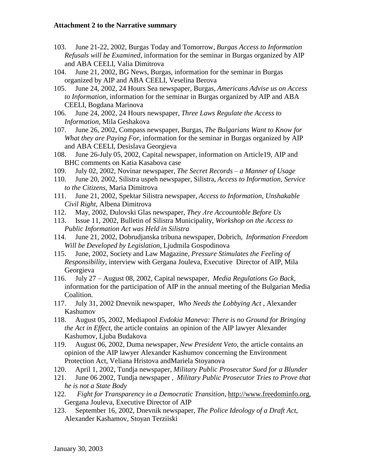- 103. June 21-22, 2002, Burgas Today and Tomorrow, *Burgas Access to Information Refusals will be Examined*, information for the seminar in Burgas organized by AIP and ABA CEELI, Valia Dimitrova
- 104. June 21, 2002, BG News, Burgas, information for the seminar in Burgas organized by AIP and ABA CEELI, Veselina Berova
- 105. June 24, 2002, 24 Hours Sea newspaper, Burgas, *Americans Advise us on Access to Information,* information for the seminar in Burgas organized by AIP and ABA CEELI, Bogdana Marinova
- 106. June 24, 2002, 24 Hours newspaper, *Three Laws Regulate the Access to Information,* Mila Geshakova
- 107. June 26, 2002, Compass newspaper, Burgas, *The Bulgarians Want to Know for What they are Paying For,* information for the seminar in Burgas organized by AIP and ABA CEELI, Desislava Georgieva
- 108. June 26-July 05, 2002, Capital newspaper, information on Article19, AIP and BHC comments on Katia Kasabova case
- 109. July 02, 2002, Novinar newspaper, *The Secret Records – a Manner of Usage*
- 110. June 20, 2002, Silistra uspeh newspaper, Silistra, *Access to Information, Service to the Citizens,* Maria Dimitrova
- 111. June 21, 2002, Spektar Silistra newspaper, *Access to Information, Unshakable Civil Right,* Albena Dimitrova
- 112. May, 2002, Dulovski Glas newspaper, *They Аre Accountoble Before Us*
- 113. Issue 11, 2002, Bulletin of Silistra Municipality, *Workshop on the Access to Public Information Act was Held in Silistra*
- 114. June 21, 2002, Dobrudjanska tribuna newspaper, Dobrich, *Information Freedom Will be Developed by Legislation,* Ljudmila Gospodinova
- 115. June, 2002, Society and Law Magazine, *Pressure Stimulates the Feeling of Responsibility*, interview with Gergana Jouleva, Executive Director of AIP, Mila Georgieva
- 116. July 27 August 08, 2002, Capital newspaper, *Media Regulations Go Back,*  information for the participation of AIP in the annual meeting of the Bulgarian Media Coalition.
- 117. July 31, 2002 Dnevnik newspaper, *Who Needs the Lobbying Act* , Alexander Kashumov
- 118. August 05, 2002, Mediapool *Evdokia Maneva: There is no Ground for Bringing the Act in Effect*, the article contains an opinion of the AIP lawyer Alexander Kashumov, Ljuba Budakova
- 119. August 06, 2002, Duma newspaper, *New President Veto*, the article contains an opinion of the AIP lawyer Alexandеr Kashumov concerning the Environment Protection Act, Veliana Hristova andMariela Stoyanova
- 120. April 1, 2002, Tundja newspaper, *Military Public Prosecutor Sued for a Blunder*
- 121. June 06 2002, Tundja newspaper , *Military Public Prosecutor Tries to Prove that he is not a State Body*
- 122. *Fight for Transparency in a Democratic Transition*, <http://www.freedominfo.org>, Gergana Jouleva, Executive Director of AIP
- 123. September 16, 2002, Dnevnik newspaper, *The Police Ideology of a Draft Act*, Alexander Kashamov, Stoyan Terziiski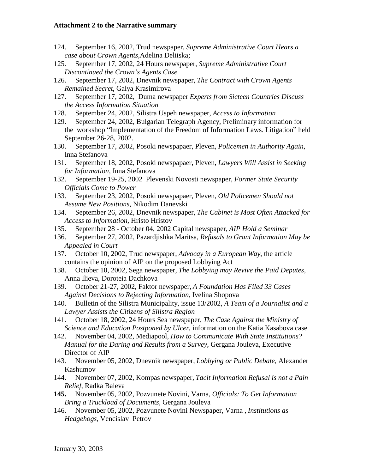- 124. September 16, 2002, Trud newspaper, *Supreme Administrative Court Hears a case about Crown Agents*,Adelina Deliiska;
- 125. September 17, 2002, 24 Hours newspaper, *Supreme Administrative Court Discontinued the Crown's Agents Case*
- 126. September 17, 2002, Dnevnik newspaper, *The Contract with Crown Agents Remained Secret*, Galya Krasimirova
- 127. September 17, 2002, Duma newspaper *Experts from Sicteen Countries Discuss the Access Information Situation*
- 128. September 24, 2002, Silistra Uspeh newspaper, *Access to Information*
- 129. September 24, 2002, Bulgarian Telegraph Agency, Preliminary information for the workshop "Implementation of the Freedom of Information Laws. Litigation" held September 26-28, 2002.
- 130. September 17, 2002, Posoki newspapaer, Pleven, *Policemen in Authority Again*, Inna Stefanova
- 131. September 18, 2002, Posoki newspapaer, Pleven, *Lawyers Will Assist in Seeking for Information,* Inna Stefanova
- 132. September 19-25, 2002 Plevenski Novosti newspaper, *Former State Security Officials Come to Power*
- 133. September 23, 2002, Posoki newspapaer, Pleven, *Old Policemen Should not Assume New Positions,* Nikodim Danevski
- 134. September 26, 2002, Dnevnik newspaper, *The Cabinet is Most Often Attacked for Access to Information*, Hristo Hristov
- 135. September 28 October 04, 2002 Capital newspaper, *AIP Hold a Seminar*
- 136. September 27, 2002, Pazardjishka Maritsa, *Refusals to Grant Information May be Appealed in Court*
- 137. October 10, 2002, Trud newspaper, *Advocay in a European Way*, the article contains the opinion of AIP on the proposed Lobbying Act
- 138. October 10, 2002, Sega newspaper, *The Lobbying may Revive the Paid Deputes,* Anna Ilieva, Doroteia Dachkova
- 139. October 21-27, 2002, Faktor newspaper, *A Foundation Has Filed 33 Cases Against Decisions to Rejecting Information*, Ivelina Shopova
- 140. Bulletin of the Silistra Municipality, issue 13/2002, *A Team of a Journalist and a Lawyer Assists the Citizens of Silistra Region*
- 141. October 18, 2002, 24 Hours Sea newspaper, *The Case Against the Ministry of Science and Education Postponed by Ulcer*, information on the Katia Kasabova case
- 142. November 04, 2002, Mediapool, *How to Communicate With State Institutions? Manual for the Daring and Results from a Survey*, Gergana Jouleva, Executive Director of AIP
- 143. November 05, 2002, Dnevnik newspaper, *Lobbying or Public Debate*, Alexander Kashumov
- 144. November 07, 2002, Kompas newspaper, *Tacit Information Refusal is not a Pain Relief*, Radka Baleva
- **145.** November 05, 2002, Pozvunete Novini, Varna, *Officials: To Get Information Bring a Truckload of Documents,* Gergana Jouleva
- 146. November 05, 2002, Pozvunete Novini Newspaper, Varna , *Institutions as Hedgehogs,* Vencislav Petrov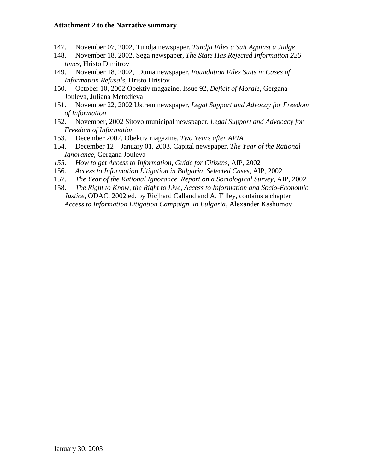- 147. November 07, 2002, Tundja newspaper, *Tundja Files a Suit Against a Judge*
- 148. November 18, 2002, Sega newspaper, *The State Has Rejected Information 226 times,* Hristo Dimitrov
- 149. November 18, 2002, Duma newspaper, *Foundation Files Suits in Cases of Information Refusals*, Hristo Hristov
- 150. October 10, 2002 Obektiv magazine, Issue 92, *Deficit of Morale*, Gergana Jouleva, Juliana Metodieva
- 151. November 22, 2002 Ustrem newspaper, *Legal Support and Advocay for Freedom of Information*
- 152. November, 2002 Sitovo municipal newspaper, *Legal Support and Advocacy for Freedom of Information*
- 153. December 2002, Obektiv magazine, *Two Years after APIA*
- 154. December 12 January 01, 2003, Capital newspaper, *The Year of the Rational Ignorance,* Gergana Jouleva
- *155. How to get Access to Information, Guide for Citizens,* AIP, 2002
- 156. *Access to Information Litigation in Bulgaria*. *Selected Cases*, AIP, 2002
- 157. *The Year of the Rational Ignorance. Report on a Sociological Survey,* AIP, 2002
- 158. *The Right to Know, the Right to Live, Access to Information and Socio-Economic Justice*, ODAC, 2002 ed. by Ricjhard Calland and A. Tilley, contains a chapter *Access to Information Litigation Campaign in Bulgaria*, Alexander Kashumov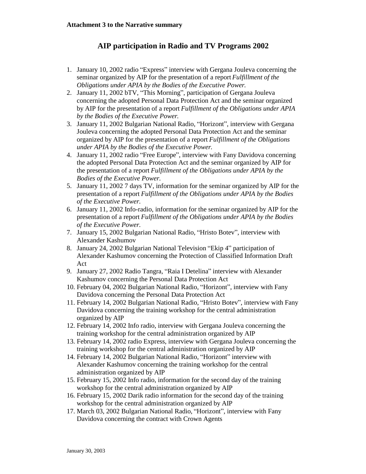# **AIP participation in Radio and TV Programs 2002**

- 1. January 10, 2002 radio "Express" interview with Gergana Jouleva concerning the seminar organized by AIP for the presentation of a report *Fulfillment of the Obligations under APIA by the Bodies of the Executive Power*.
- 2. January 11, 2002 bTV, "This Morning", participation of Gergana Jouleva concerning the adopted Personal Data Protection Act and the seminar organized by AIP for the presentation of a report *Fulfillment of the Obligations under APIA by the Bodies of the Executive Power*.
- 3. January 11, 2002 Bulgarian National Radio, "Horizont", interview with Gergana Jouleva concerning the adopted Personal Data Protection Act and the seminar organized by AIP for the presentation of a report *Fulfillment of the Obligations under APIA by the Bodies of the Executive Power*.
- 4. January 11, 2002 radio "Free Europe", interview with Fany Davidova concerning the adopted Personal Data Protection Act and the seminar organized by AIP for the presentation of a report *Fulfillment of the Obligations under APIA by the Bodies of the Executive Power.*
- 5. January 11, 2002 7 days TV, information for the seminar organized by AIP for the presentation of a report *Fulfillment of the Obligations under APIA by the Bodies of the Executive Power*.
- 6. January 11, 2002 Info-radio, information for the seminar organized by AIP for the presentation of a report *Fulfillment of the Obligations under APIA by the Bodies of the Executive Power*.
- 7. January 15, 2002 Bulgarian National Radio, "Hristo Botev", interview with Alexander Kashumov
- 8. January 24, 2002 Bulgarian National Television "Ekip 4" participation of Alexander Kashumov concerning the Protection of Classified Information Draft Act
- 9. January 27, 2002 Radio Tangra, "Raia I Detelina" interview with Alexander Kashumov concerning the Personal Data Protection Act
- 10. February 04, 2002 Bulgarian National Radio, "Horizont", interview with Fany Davidova concerning the Personal Data Protection Act
- 11. February 14, 2002 Bulgarian National Radio, "Hristo Botev", interview with Fany Davidova concerning the training workshop for the central administration organized by AIP
- 12. February 14, 2002 Info radio, interview with Gergana Jouleva concerning the training workshop for the central administration organized by AIP
- 13. February 14, 2002 radio Express, interview with Gergana Jouleva concerning the training workshop for the central administration organized by AIP
- 14. February 14, 2002 Bulgarian National Radio, "Horizont" interview with Alexander Kashumov concerning the training workshop for the central administration organized by AIP
- 15. February 15, 2002 Info radio, information for the second day of the training workshop for the central administration organized by AIP
- 16. February 15, 2002 Darik radio information for the second day of the training workshop for the central administration organized by AIP
- 17. March 03, 2002 Bulgarian National Radio, "Horizont", interview with Fany Davidova concerning the contract with Crown Agents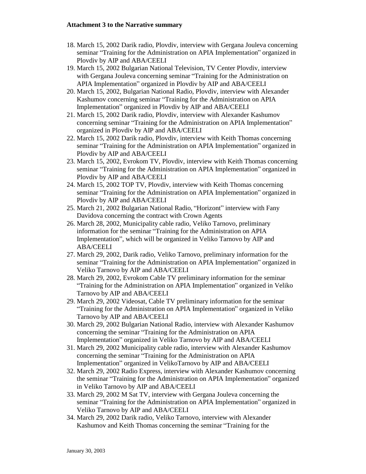- 18. March 15, 2002 Darik radio, Plovdiv, interview with Gergana Jouleva concerning seminar "Training for the Administration on APIA Implementation" organized in Plovdiv by AIP and ABA/CEELI
- 19. March 15, 2002 Bulgarian National Television, TV Center Plovdiv, interview with Gergana Jouleva concerning seminar "Training for the Administration on APIA Implementation" organized in Plovdiv by AIP and ABA/CEELI
- 20. March 15, 2002, Bulgarian National Radio, Plovdiv, interview with Alexander Kashumov concerning seminar "Training for the Administration on APIA Implementation" organized in Plovdiv by AIP and ABA/CEELI
- 21. March 15, 2002 Darik radio, Plovdiv, interview with Alexander Kashumov concerning seminar "Training for the Administration on APIA Implementation" organized in Plovdiv by AIP and ABA/CEELI
- 22. March 15, 2002 Darik radio, Plovdiv, interview with Keith Thomas concerning seminar "Training for the Administration on APIA Implementation" organized in Plovdiv by AIP and ABA/CEELI
- 23. March 15, 2002, Evrokom TV, Plovdiv, interview with Keith Thomas concerning seminar "Training for the Administration on APIA Implementation" organized in Plovdiv by AIP and ABA/CEELI
- 24. March 15, 2002 TOP TV, Plovdiv, interview with Keith Thomas concerning seminar "Training for the Administration on APIA Implementation" organized in Plovdiv by AIP and ABA/CEELI
- 25. March 21, 2002 Bulgarian National Radio, "Horizont" interview with Fany Davidova concerning the contract with Crown Agents
- 26. March 28, 2002, Municipality cable radio, Veliko Tarnovo, preliminary information for the seminar "Training for the Administration on APIA Implementation", which will be organized in Veliko Tarnovo by AIP and ABA/CEELI
- 27. March 29, 2002, Darik radio, Veliko Tarnovo, preliminary information for the seminar "Training for the Administration on APIA Implementation" organized in Veliko Tarnovo by AIP and ABA/CEELI
- 28. March 29, 2002, Evrokom Cable TV preliminary information for the seminar "Training for the Administration on APIA Implementation" organized in Veliko Tarnovo by AIP and ABA/CEELI
- 29. March 29, 2002 Videosat, Cable TV preliminary information for the seminar "Training for the Administration on APIA Implementation" organized in Veliko Tarnovo by AIP and ABA/CEELI
- 30. March 29, 2002 Bulgarian National Radio, interview with Alexander Kashumov concerning the seminar "Training for the Administration on APIA Implementation" organized in Veliko Tarnovo by AIP and ABA/CEELI
- 31. March 29, 2002 Municipality cable radio, interview with Alexander Kashumov concerning the seminar "Training for the Administration on APIA Implementation" organized in VelikoTarnovo by AIP and ABA/CEELI
- 32. March 29, 2002 Radio Express, interview with Alexander Kashumov concerning the seminar "Training for the Administration on APIA Implementation" organized in Veliko Tarnovo by AIP and ABA/CEELI
- 33. March 29, 2002 M Sat TV, interview with Gergana Jouleva concerning the seminar "Training for the Administration on APIA Implementation" organized in Veliko Tarnovo by AIP and ABA/CEELI
- 34. March 29, 2002 Darik radio, Veliko Tarnovo, interview with Alexander Kashumov and Keith Thomas concerning the seminar "Training for the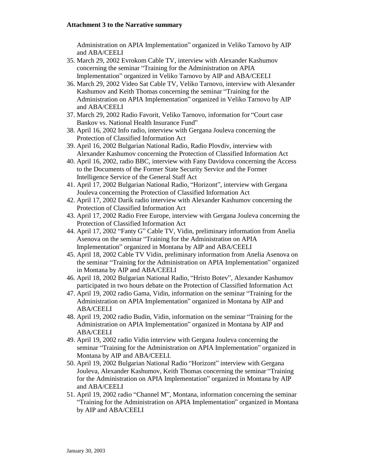Administration on APIA Implementation" organized in Veliko Tarnovo by AIP and ABA/CEELI

- 35. March 29, 2002 Evrokom Cable TV, interview with Alexander Kashumov concerning the seminar "Training for the Administration on APIA Implementation" organized in Veliko Tarnovo by AIP and ABA/CEELI
- 36. March 29, 2002 Video Sat Cable TV, Veliko Tarnovo, interview with Alexander Kashumov and Keith Thomas concerning the seminar "Training for the Administration on APIA Implementation" organized in Veliko Tarnovo by AIP and ABA/CEELI
- 37. March 29, 2002 Radio Favorit, Veliko Tarnovo, information for "Court case Bankov vs. National Health Insurance Fund"
- 38. April 16, 2002 Info radio, interview with Gergana Jouleva concerning the Protection of Classified Information Act
- 39. April 16, 2002 Bulgarian National Radio, Radio Plovdiv, interview with Alexander Kashumov concerning the Protection of Classified Information Act
- 40. April 16, 2002, radio BBC, interview with Fany Davidova concerning the Access to the Documents of the Former State Security Service and the Former Intelligence Service of the General Staff Act
- 41. April 17, 2002 Bulgarian National Radio, "Horizont", interview with Gergana Jouleva concerning the Protection of Classified Information Act
- 42. April 17, 2002 Darik radio interview with Alexander Kashumov concerning the Protection of Classified Information Act
- 43. April 17, 2002 Radio Free Europe, interview with Gergana Jouleva concerning the Protection of Classified Information Act
- 44. April 17, 2002 "Fanty G" Cable TV, Vidin, preliminary information from Anelia Asenova on the seminar "Training for the Administration on APIA Implementation" organized in Montana by AIP and ABA/CEELI
- 45. April 18, 2002 Cable TV Vidin, preliminary information from Anelia Asenova on the seminar "Training for the Administration on APIA Implementation" organized in Montana by AIP and ABA/CEELI
- 46. April 18, 2002 Bulgarian National Radio, "Hristo Botev", Alexander Kashumov participated in two hours debate on the Protection of Classified Information Act
- 47. April 19, 2002 radio Gama, Vidin, information on the seminar "Training for the Administration on APIA Implementation" organized in Montana by AIP and ABA/CEELI
- 48. April 19, 2002 radio Budin, Vidin, information on the seminar "Training for the Administration on APIA Implementation" organized in Montana by AIP and ABA/CEELI
- 49. April 19, 2002 radio Vidin interview with Gergana Jouleva concerning the seminar "Training for the Administration on APIA Implementation" organized in Montana by AIP and ABA/CEELI.
- 50. April 19, 2002 Bulgarian National Radio "Horizont" interview with Gergana Jouleva, Alexander Kashumov, Keith Thomas concerning the seminar "Training for the Administration on APIA Implementation" organized in Montana by AIP and ABA/CEELI
- 51. April 19, 2002 radio "Channel M", Montana, information concerning the seminar "Training for the Administration on APIA Implementation" organized in Montana by AIP and ABA/CEELI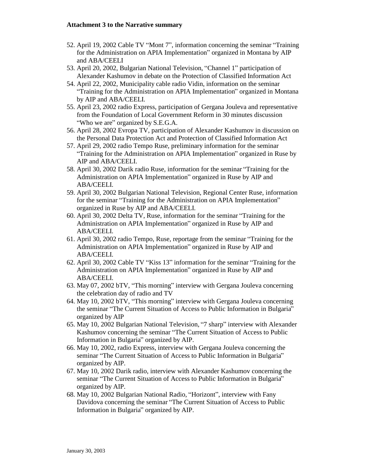- 52. April 19, 2002 Cable TV "Mont 7", information concerning the seminar "Training for the Administration on APIA Implementation" organized in Montana by AIP and ABA/CEELI
- 53. April 20, 2002, Bulgarian National Television, "Channel 1" participation of Alexander Kashumov in debate on the Protection of Classified Information Act
- 54. April 22, 2002, Municipality cable radio Vidin, information on the seminar "Training for the Administration on APIA Implementation" organized in Montana by AIP and ABA/CEELI.
- 55. April 23, 2002 radio Express, participation of Gergana Jouleva and representative from the Foundation of Local Government Reform in 30 minutes discussion "Who we are" organized by S.E.G.A.
- 56. April 28, 2002 Evropa TV, participation of Alexander Kashumov in discussion on the Personal Data Protection Act and Protection of Classified Information Act
- 57. April 29, 2002 radio Tempo Ruse, preliminary information for the seminar "Training for the Administration on APIA Implementation" organized in Ruse by AIP and ABA/CEELI.
- 58. April 30, 2002 Darik radio Ruse, information for the seminar "Training for the Administration on APIA Implementation" organized in Ruse by AIP and ABA/CEELI.
- 59. April 30, 2002 Bulgarian National Television, Regional Center Ruse, information for the seminar "Training for the Administration on APIA Implementation" organized in Ruse by AIP and ABA/CEELI.
- 60. April 30, 2002 Delta TV, Ruse, information for the seminar "Training for the Administration on APIA Implementation" organized in Ruse by AIP and ABA/CEELI.
- 61. April 30, 2002 radio Tempo, Ruse, reportage from the seminar "Training for the Administration on APIA Implementation" organized in Ruse by AIP and ABA/CEELI.
- 62. April 30, 2002 Cable TV "Kiss 13" information for the seminar "Training for the Administration on APIA Implementation" organized in Ruse by AIP and ABA/CEELI.
- 63. May 07, 2002 bTV, "This morning" interview with Gergana Jouleva concerning the celebration day of radio and TV
- 64. May 10, 2002 bTV, "This morning" interview with Gergana Jouleva concerning the seminar "The Current Situation of Access to Public Information in Bulgaria" organized by AIP
- 65. May 10, 2002 Bulgarian National Television, "7 sharp" interview with Alexander Kashumov concerning the seminar "The Current Situation of Access to Public Information in Bulgaria" organized by AIP.
- 66. May 10, 2002, radio Express, interview with Gergana Jouleva concerning the seminar "The Current Situation of Access to Public Information in Bulgaria" organized by AIP.
- 67. May 10, 2002 Darik radio, interview with Alexander Kashumov concerning the seminar "The Current Situation of Access to Public Information in Bulgaria" organized by AIP.
- 68. May 10, 2002 Bulgarian National Radio, "Horizont", interview with Fany Davidova concerning the seminar "The Current Situation of Access to Public Information in Bulgaria" organized by AIP.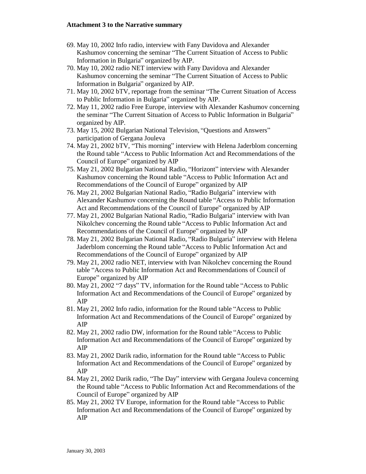- 69. May 10, 2002 Info radio, interview with Fany Davidova and Alexander Kashumov concerning the seminar "The Current Situation of Access to Public Information in Bulgaria" organized by AIP.
- 70. May 10, 2002 radio NET interview with Fany Davidova and Alexander Kashumov concerning the seminar "The Current Situation of Access to Public Information in Bulgaria" organized by AIP.
- 71. May 10, 2002 bTV, reportage from the seminar "The Current Situation of Access to Public Information in Bulgaria" organized by AIP.
- 72. May 11, 2002 radio Free Europe, interview with Alexander Kashumov concerning the seminar "The Current Situation of Access to Public Information in Bulgaria" organized by AIP.
- 73. May 15, 2002 Bulgarian National Television, "Questions and Answers" participation of Gergana Jouleva
- 74. May 21, 2002 bTV, "This morning" interview with Helena Jaderblom concerning the Round table "Access to Public Information Act and Recommendations of the Council of Europe" organized by AIP
- 75. May 21, 2002 Bulgarian National Radio, "Horizont" interview with Alexander Kashumov concerning the Round table "Access to Public Information Act and Recommendations of the Council of Europe" organized by AIP
- 76. May 21, 2002 Bulgarian National Radio, "Radio Bulgaria" interview with Alexander Kashumov concerning the Round table "Access to Public Information Act and Recommendations of the Council of Europe" organized by AIP
- 77. May 21, 2002 Bulgarian National Radio, "Radio Bulgaria" interview with Ivan Nikolchev concerning the Round table "Access to Public Information Act and Recommendations of the Council of Europe" organized by AIP
- 78. May 21, 2002 Bulgarian National Radio, "Radio Bulgaria" interview with Helena Jaderblom concerning the Round table "Access to Public Information Act and Recommendations of the Council of Europe" organized by AIP
- 79. May 21, 2002 radio NET, interview with Ivan Nikolchev concerning the Round table "Access to Public Information Act and Recommendations of Council of Europe" organized by AIP
- 80. May 21, 2002 "7 days" TV, information for the Round table "Access to Public Information Act and Recommendations of the Council of Europe" organized by AIP
- 81. May 21, 2002 Info radio, information for the Round table "Access to Public Information Act and Recommendations of the Council of Europe" organized by AIP
- 82. May 21, 2002 radio DW, information for the Round table "Access to Public Information Act and Recommendations of the Council of Europe" organized by AIP
- 83. May 21, 2002 Darik radio, information for the Round table "Access to Public Information Act and Recommendations of the Council of Europe" organized by AIP
- 84. May 21, 2002 Darik radio, "The Day" interview with Gergana Jouleva concerning the Round table "Access to Public Information Act and Recommendations of the Council of Europe" organized by AIP
- 85. May 21, 2002 TV Europe, information for the Round table "Access to Public Information Act and Recommendations of the Council of Europe" organized by AIP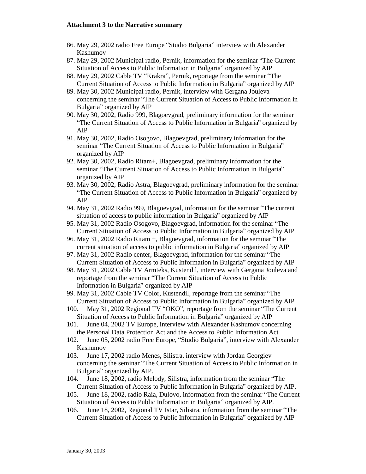- 86. May 29, 2002 radio Free Europe "Studio Bulgaria" interview with Alexander Kashumov
- 87. May 29, 2002 Municipal radio, Pernik, information for the seminar "The Current Situation of Access to Public Information in Bulgaria" organized by AIP
- 88. May 29, 2002 Cable TV "Krakra", Pernik, reportage from the seminar "The Current Situation of Access to Public Information in Bulgaria" organized by AIP
- 89. May 30, 2002 Municipal radio, Pernik, interview with Gergana Jouleva concerning the seminar "The Current Situation of Access to Public Information in Bulgaria" organized by AIP
- 90. May 30, 2002, Radio 999, Blagoevgrad, preliminary information for the seminar "The Current Situation of Access to Public Information in Bulgaria" organized by AIP
- 91. May 30, 2002, Radio Osogovo, Blagoevgrad, preliminary information for the seminar "The Current Situation of Access to Public Information in Bulgaria" organized by AIP
- 92. May 30, 2002, Radio Ritam+, Blagoevgrad, preliminary information for the seminar "The Current Situation of Access to Public Information in Bulgaria" organized by AIP
- 93. May 30, 2002, Radio Astra, Blagoevgrad, preliminary information for the seminar "The Current Situation of Access to Public Information in Bulgaria" organized by AIP
- 94. May 31, 2002 Radio 999, Blagoevgrad, information for the seminar "The current situation of access to public information in Bulgaria" organized by AIP
- 95. May 31, 2002 Radio Osogovo, Blagoevgrad, information for the seminar "The Current Situation of Access to Public Information in Bulgaria" organized by AIP
- 96. May 31, 2002 Radio Ritam +, Blagoevgrad, information for the seminar "The current situation of access to public information in Bulgaria" organized by AIP
- 97. May 31, 2002 Radio center, Blagoevgrad, information for the seminar "The Current Situation of Access to Public Information in Bulgaria" organized by AIP
- 98. May 31, 2002 Cable TV Armteks, Kustendil, interview with Gergana Jouleva and reportage from the seminar "The Current Situation of Access to Public Information in Bulgaria" organized by AIP
- 99. May 31, 2002 Cable TV Color, Kustendil, reportage from the seminar "The Current Situation of Access to Public Information in Bulgaria" organized by AIP
- 100. May 31, 2002 Regional TV "OKO", reportage from the seminar "The Current Situation of Access to Public Information in Bulgaria" organized by AIP
- 101. June 04, 2002 TV Europe, interview with Alexander Kashumov concerning the Personal Data Protection Act and the Access to Public Information Act
- 102. June 05, 2002 radio Free Europe, "Studio Bulgaria", interview with Alexander Kashumov
- 103. June 17, 2002 radio Menes, Silistra, interview with Jordan Georgiev concerning the seminar "The Current Situation of Access to Public Information in Bulgaria" organized by AIP.
- 104. June 18, 2002, radio Melody, Silistra, information from the seminar "The Current Situation of Access to Public Information in Bulgaria" organized by AIP.
- 105. June 18, 2002, radio Raia, Dulovo, information from the seminar "The Current Situation of Access to Public Information in Bulgaria" organized by AIP.
- 106. June 18, 2002, Regional TV Istar, Silistra, information from the seminar "The Current Situation of Access to Public Information in Bulgaria" organized by AIP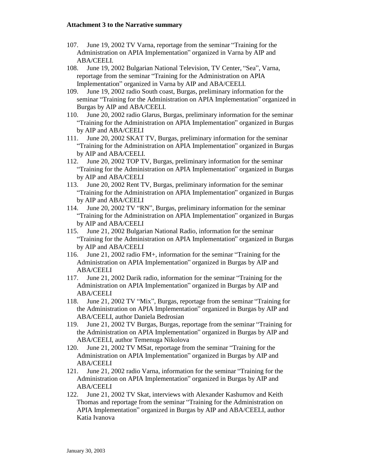- 107. June 19, 2002 TV Varna, reportage from the seminar "Training for the Administration on APIA Implementation" organized in Varna by AIP and ABA/CEELI.
- 108. June 19, 2002 Bulgarian National Television, TV Center, "Sea", Varna, reportage from the seminar "Training for the Administration on APIA Implementation" organized in Varna by AIP and ABA/CEELI.
- 109. June 19, 2002 radio South coast, Burgas, preliminary information for the seminar "Training for the Administration on APIA Implementation" organized in Burgas by AIP and ABA/CEELI.
- 110. June 20, 2002 radio Glarus, Burgas, preliminary information for the seminar "Training for the Administration on APIA Implementation" organized in Burgas by AIP and ABA/CEELI
- 111. June 20, 2002 SKAT TV, Burgas, preliminary information for the seminar "Training for the Administration on APIA Implementation" organized in Burgas by AIP and ABA/CEELI.
- 112. June 20, 2002 TOP TV, Burgas, preliminary information for the seminar "Training for the Administration on APIA Implementation" organized in Burgas by AIP and ABA/CEELI
- 113. June 20, 2002 Rent TV, Burgas, preliminary information for the seminar "Training for the Administration on APIA Implementation" organized in Burgas by AIP and ABA/CEELI
- 114. June 20, 2002 TV "RN", Burgas, preliminary information for the seminar "Training for the Administration on APIA Implementation" organized in Burgas by AIP and ABA/CEELI
- 115. June 21, 2002 Bulgarian National Radio, information for the seminar "Training for the Administration on APIA Implementation" organized in Burgas by AIP and ABA/CEELI
- 116. June 21, 2002 radio FM+, information for the seminar "Training for the Administration on APIA Implementation" organized in Burgas by AIP and ABA/CEELI
- 117. June 21, 2002 Darik radio, information for the seminar "Training for the Administration on APIA Implementation" organized in Burgas by AIP and ABA/CEELI
- 118. June 21, 2002 TV "Mix", Burgas, reportage from the seminar "Training for the Administration on APIA Implementation" organized in Burgas by AIP and ABA/CEELI, author Daniela Bedrosian
- 119. June 21, 2002 TV Burgas, Burgas, reportage from the seminar "Training for the Administration on APIA Implementation" organized in Burgas by AIP and ABA/CEELI, author Temenuga Nikolova
- 120. June 21, 2002 TV MSat, reportage from the seminar "Training for the Administration on APIA Implementation" organized in Burgas by AIP and ABA/CEELI
- 121. June 21, 2002 radio Varna, information for the seminar "Training for the Administration on APIA Implementation" organized in Burgas by AIP and ABA/CEELI
- 122. June 21, 2002 TV Skat, interviews with Alexander Kashumov and Keith Thomas and reportage from the seminar "Training for the Administration on APIA Implementation" organized in Burgas by AIP and ABA/CEELI, author Katia Ivanova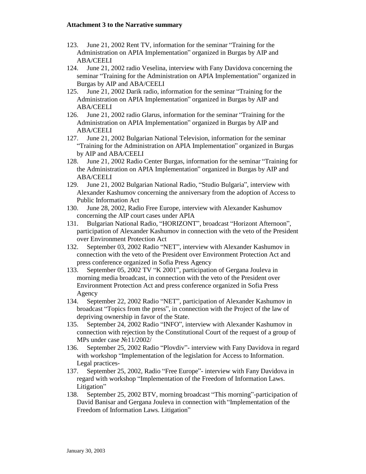- 123. June 21, 2002 Rent TV, information for the seminar "Training for the Administration on APIA Implementation" organized in Burgas by AIP and ABA/CEELI
- 124. June 21, 2002 radio Veselina, interview with Fany Davidova concerning the seminar "Training for the Administration on APIA Implementation" organized in Burgas by AIP and ABA/CEELI
- 125. June 21, 2002 Darik radio, information for the seminar "Training for the Administration on APIA Implementation" organized in Burgas by AIP and ABA/CEELI
- 126. June 21, 2002 radio Glarus, information for the seminar "Training for the Administration on APIA Implementation" organized in Burgas by AIP and ABA/CEELI
- 127. June 21, 2002 Bulgarian National Television, information for the seminar "Training for the Administration on APIA Implementation" organized in Burgas by AIP and ABA/CEELI
- 128. June 21, 2002 Radio Center Burgas, information for the seminar "Training for the Administration on APIA Implementation" organized in Burgas by AIP and ABA/CEELI
- 129. June 21, 2002 Bulgarian National Radio, "Studio Bulgaria", interview with Alexander Kashumov concerning the anniversary from the adoption of Access to Public Information Act
- 130. June 28, 2002, Radio Free Europe, interview with Alexander Kashumov concerning the AIP court cases under APIA
- 131. Bulgarian National Radio, "HORIZONT", broadcast "Horizont Afternoon", participation of Alexander Kashumov in connection with the veto of the President over Environment Protection Act
- 132. September 03, 2002 Radio "NET", interview with Alexander Kashumov in connection with the veto of the President over Environment Protection Act and press conference organized in Sofia Press Agency
- 133. September 05, 2002 TV "K 2001", participation of Gergana Jouleva in morning media broadcast, in connection with the veto of the President over Environment Protection Act and press conference organized in Sofia Press Agency
- 134. September 22, 2002 Radio "NET", participation of Alexander Kashumov in broadcast "Topics from the press", in connection with the Project of the law of depriving ownership in favor of the State.
- 135. September 24, 2002 Radio "INFO", interview with Alexander Kashumov in connection with rejection by the Constitutional Court of the request of a group of MPs under case №11/2002/
- 136. September 25, 2002 Radio "Plovdiv"- interview with Fany Davidova in regard with workshop "Implementation of the legislation for Access to Information. Legal practices-
- 137. September 25, 2002, Radio "Free Europe"- interview with Fany Davidova in regard with workshop "Implementation of the Freedom of Information Laws. Litigation"
- 138. September 25, 2002 BTV, morning broadcast "This morning"-participation of David Banisar and Gergana Jouleva in connection with "Implementation of the Freedom of Information Laws. Litigation"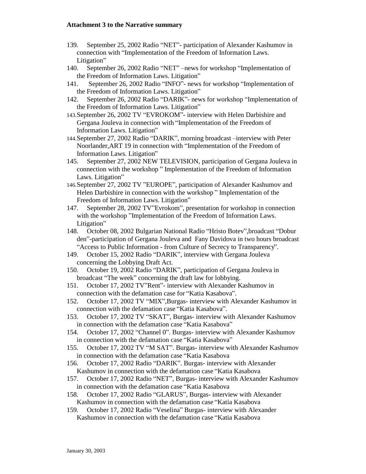- 139. September 25, 2002 Radio "NET"- participation of Alexander Kashumov in connection with "Implementation of the Freedom of Information Laws. Litigation"
- 140. September 26, 2002 Radio "NET" –news for workshop "Implementation of the Freedom of Information Laws. Litigation"
- 141. September 26, 2002 Radio "INFO"- news for workshop "Implementation of the Freedom of Information Laws. Litigation"
- 142. September 26, 2002 Radio "DARIK"- news for workshop "Implementation of the Freedom of Information Laws. Litigation"
- 143. September 26, 2002 TV "EVROKOM"- interview with Helen Darbishire and Gergana Jouleva in connection with "Implementation of the Freedom of Information Laws. Litigation"
- 144. September 27, 2002 Radio "DARIK", morning broadcast –interview with Peter Noorlander,ART 19 in connection with "Implementation of the Freedom of Information Laws. Litigation"
- 145. September 27, 2002 NEW TELEVISION, participation of Gergana Jouleva in connection with the workshop " Implementation of the Freedom of Information Laws. Litigation"
- 146. September 27, 2002 TV "EUROPE", participation of Alexander Kashumov and Helen Darbishire in connection with the workshop " Implementation of the Freedom of Information Laws. Litigation"
- 147. September 28, 2002 TV"Evrokom", presentation for workshop in connection with the workshop "Implementation of the Freedom of Information Laws. Litigation"
- 148. October 08, 2002 Bulgarian National Radio "Hristo Botev",broadcast "Dobur den"-participation of Gergana Jouleva and Fany Davidova in two hours broadcast "Access to Public Information - from Culture of Secrecy to Transparency".
- 149. October 15, 2002 Radio "DARIK", interview with Gergana Jouleva concerning the Lobbying Draft Act.
- 150. October 19, 2002 Radio "DARIK", participation of Gergana Jouleva in broadcast "The week" concerning the draft law for lobbying.
- 151. October 17, 2002 TV"Rent"- interview with Alexander Kashumov in connection with the defamation case for "Katia Kasabova".
- 152. October 17, 2002 TV "MIX",Burgas- interview with Alexander Kashumov in connection with the defamation case "Katia Kasabova".
- 153. October 17, 2002 TV "SKAT", Burgas- interview with Alexander Kashumov in connection with the defamation case "Katia Kasabova"
- 154. October 17, 2002 "Channel 0". Burgas- interview with Alexander Kashumov in connection with the defamation case "Katia Kasabova"
- 155. October 17, 2002 TV "M SAT". Burgas- interview with Alexander Kashumov in connection with the defamation case "Katia Kasabova
- 156. October 17, 2002 Radio "DARIK". Burgas- interview with Alexander Kashumov in connection with the defamation case "Katia Kasabova
- 157. October 17, 2002 Radio "NET", Burgas- interview with Alexander Kashumov in connection with the defamation case "Katia Kasabova
- 158. October 17, 2002 Radio "GLARUS", Burgas- interview with Alexander Kashumov in connection with the defamation case "Katia Kasabova
- 159. October 17, 2002 Radio "Veselina" Burgas- interview with Alexander Kashumov in connection with the defamation case "Katia Kasabova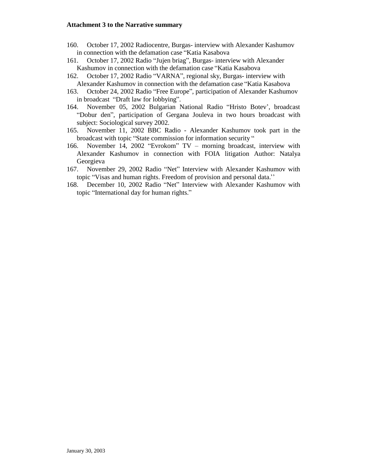- 160. October 17, 2002 Radiocentre, Burgas- interview with Alexander Kashumov in connection with the defamation case "Katia Kasabova
- 161. October 17, 2002 Radio "Jujen briag", Burgas- interview with Alexander Kashumov in connection with the defamation case "Katia Kasabova
- 162. October 17, 2002 Radio "VARNA", regional sky, Burgas- interview with Alexander Kashumov in connection with the defamation case "Katia Kasabova
- 163. October 24, 2002 Radio "Free Europe", participation of Alexander Kashumov in broadcast "Draft law for lobbying".
- 164. November 05, 2002 Bulgarian National Radio "Hristo Botev', broadcast "Dobur den", participation of Gergana Jouleva in two hours broadcast with subject: Sociological survey 2002.
- 165. November 11, 2002 BBC Radio Alexander Kashumov took part in the broadcast with topic "State commission for information security "
- 166. November 14, 2002 "Evrokom" TV morning broadcast, interview with Alexander Kashumov in connection with FOIA litigation Author: Natalya Georgieva
- 167. November 29, 2002 Radio "Net" Interview with Alexander Kashumov with topic "Visas and human rights. Freedom of provision and personal data.''
- 168. December 10, 2002 Radio "Net" Interview with Alexander Kashumov with topic "International day for human rights."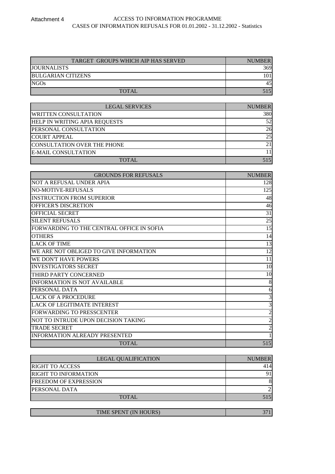# Attachment 4 ACCESS TO INFORMATION PROGRAMME CASES OF INFORMATION REFUSALS FOR 01.01.2002 - 31.12.2002 - Statistics

| TARGET GROUPS WHICH AIP HAS SERVED | <b>NUMBER</b> |
|------------------------------------|---------------|
| <b>JOURNALISTS</b>                 | 369           |
| <b>BULGARIAN CITIZENS</b>          | 1011          |
| NGOs                               | 45            |
| <b>TOTAL</b>                       | 515           |

| <b>LEGAL SERVICES</b>                | <b>NUMBER</b>   |
|--------------------------------------|-----------------|
| <b>WRITTEN CONSULTATION</b>          | 380             |
| <b>HELP IN WRITING APIA REQUESTS</b> | 52              |
| PERSONAL CONSULTATION                | 26              |
| <b>COURT APPEAL</b>                  | 25              |
| CONSULTATION OVER THE PHONE          | 21 <sub>1</sub> |
| <b>E-MAIL CONSULTATION</b>           |                 |
| <b>TOTAL</b>                         |                 |

| <b>GROUNDS FOR REFUSALS</b>               | <b>NUMBER</b> |
|-------------------------------------------|---------------|
| NOT A REFUSAL UNDER APIA                  | 128           |
| NO-MOTIVE-REFUSALS                        | 125           |
| <b>INSTRUCTION FROM SUPERIOR</b>          | 48            |
| OFFICER'S DISCRETION                      | 46            |
| OFFICIAL SECRET                           | 31            |
| <b>SILENT REFUSALS</b>                    | 25            |
| FORWARDING TO THE CENTRAL OFFICE IN SOFIA | 15            |
| <b>OTHERS</b>                             | 14            |
| <b>LACK OF TIME</b>                       | 13            |
| WE ARE NOT OBLIGED TO GIVE INFORMATION    | 12            |
| WE DON'T HAVE POWERS                      | 11            |
| <b>INVESTIGATORS SECRET</b>               | 10            |
| THIRD PARTY CONCERNED                     | 10            |
| <b>INFORMATION IS NOT AVAILABLE</b>       | 8             |
| PERSONAL DATA                             | 6             |
| <b>LACK OF A PROCEDURE</b>                | 3             |
| <b>LACK OF LEGITIMATE INTEREST</b>        | 3             |
| FORWARDING TO PRESSCENTER                 | 2             |
| NOT TO INTRUDE UPON DECISION TAKING       |               |
| TRADE SECRET                              | 2             |
| <b>INFORMATION ALREADY PRESENTED</b>      |               |
| <b>TOTAL</b>                              | 515           |

| <b>NUMBER</b> |
|---------------|
| 414           |
|               |
| 8             |
|               |
|               |
|               |

| TIME SPENT (IN HOURS) |  |
|-----------------------|--|
|                       |  |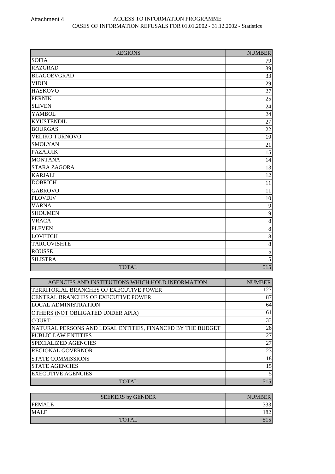| <b>REGIONS</b>        | <b>NUMBER</b>   |
|-----------------------|-----------------|
| <b>SOFIA</b>          | 79              |
| <b>RAZGRAD</b>        | 39              |
| <b>BLAGOEVGRAD</b>    | 33              |
| <b>VIDIN</b>          | 29              |
| <b>HASKOVO</b>        | 27              |
| <b>PERNIK</b>         | $\overline{25}$ |
| <b>SLIVEN</b>         | $24\,$          |
| <b>YAMBOL</b>         | 24              |
| <b>KYUSTENDIL</b>     | $\overline{27}$ |
| <b>BOURGAS</b>        | 22              |
| <b>VELIKO TURNOVO</b> | 19              |
| <b>SMOLYAN</b>        | 21              |
| <b>PAZARJIK</b>       | 15              |
| <b>MONTANA</b>        | 14              |
| <b>STARA ZAGORA</b>   | 13              |
| <b>KARJALI</b>        | 12              |
| <b>DOBRICH</b>        | 11              |
| <b>GABROVO</b>        | 11              |
| <b>PLOVDIV</b>        | 10              |
| <b>VARNA</b>          | 9               |
| <b>SHOUMEN</b>        | $\mathbf{9}$    |
| <b>VRACA</b>          | $8\,$           |
| <b>PLEVEN</b>         | $8\,$           |
| <b>LOVETCH</b>        | $8\,$           |
| <b>TARGOVISHTE</b>    | $8\,$           |
| <b>ROUSSE</b>         | 5               |
| <b>SILISTRA</b>       | 5               |
| <b>TOTAL</b>          | 515             |

| AGENCIES AND INSTITUTIONS WHICH HOLD INFORMATION           | <b>NUMBER</b> |
|------------------------------------------------------------|---------------|
| TERRITORIAL BRANCHES OF EXECUTIVE POWER                    | 127           |
| <b>CENTRAL BRANCHES OF EXECUTIVE POWER</b>                 | 87            |
| <b>LOCAL ADMINISTRATION</b>                                | 64            |
| OTHERS (NOT OBLIGATED UNDER APIA)                          | 61            |
| <b>COURT</b>                                               | 33            |
| NATURAL PERSONS AND LEGAL ENTITIES, FINANCED BY THE BUDGET | 28            |
| <b>PUBLIC LAW ENTITIES</b>                                 | 27            |
| SPECIALIZED AGENCIES                                       | 27            |
| <b>REGIONAL GOVERNOR</b>                                   | 23            |
| <b>STATE COMMISSIONS</b>                                   | 18            |
| <b>STATE AGENCIES</b>                                      | 15            |
| <b>EXECUTIVE AGENCIES</b>                                  |               |
| <b>TOTAL</b>                                               | 515           |

| <b>SEEKERS by GENDER</b> | <b>NUMBER</b> |
|--------------------------|---------------|
| <b>FEMALE</b>            | つつつ           |
| <b>MALE</b>              | ാ             |
| <b>TOTAL</b>             |               |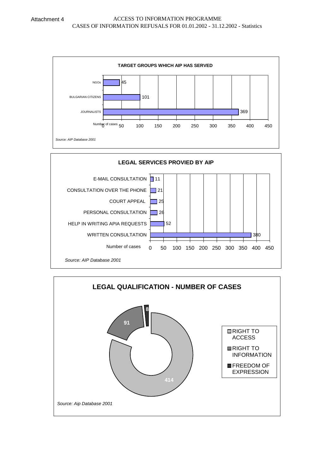

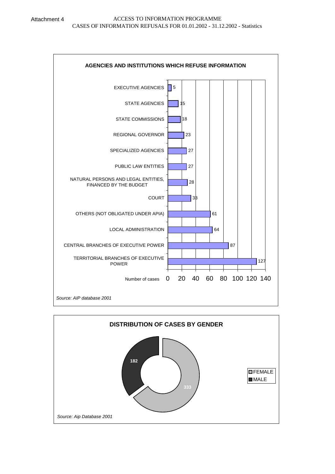

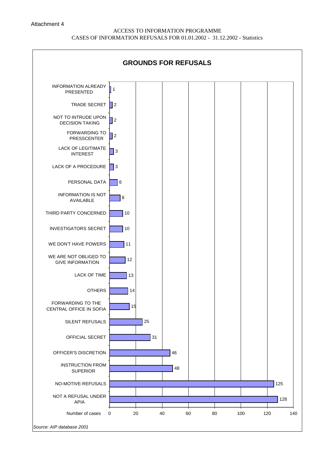#### Attachment 4

# ACCESS TO INFORMATION PROGRAMME CASES OF INFORMATION REFUSALS FOR 01.01.2002 - 31.12.2002 - Statistics